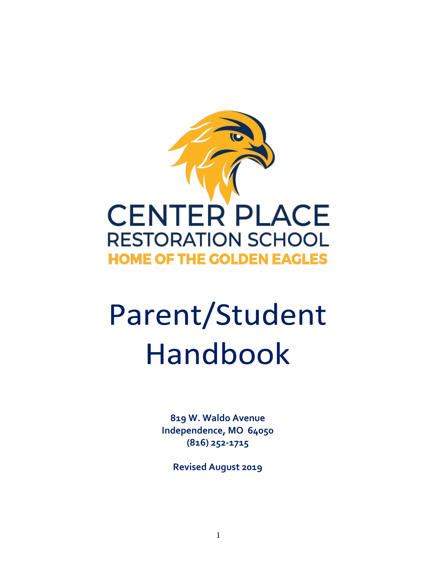

# Parent/Student Handbook

**819 W. Waldo Avenue Independence, MO 64050 (816) 252-1715**

**Revised August 2019**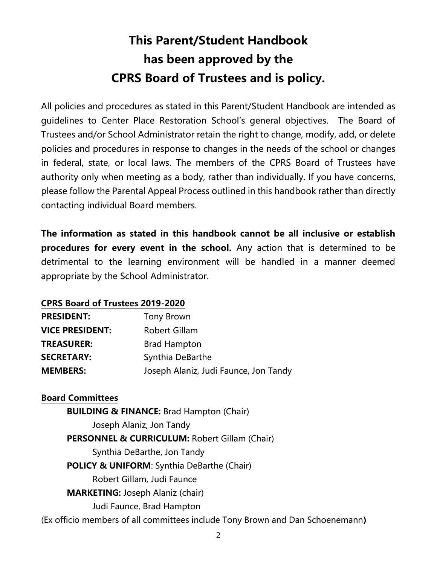### **This Parent/Student Handbook has been approved by the CPRS Board of Trustees and is policy.**

All policies and procedures as stated in this Parent/Student Handbook are intended as guidelines to Center Place Restoration School's general objectives. The Board of Trustees and/or School Administrator retain the right to change, modify, add, or delete policies and procedures in response to changes in the needs of the school or changes in federal, state, or local laws. The members of the CPRS Board of Trustees have authority only when meeting as a body, rather than individually. If you have concerns, please follow the Parental Appeal Process outlined in this handbook rather than directly contacting individual Board members.

**The information as stated in this handbook cannot be all inclusive or establish procedures for every event in the school.** Any action that is determined to be detrimental to the learning environment will be handled in a manner deemed appropriate by the School Administrator.

#### **CPRS Board of Trustees 2019-2020**

| <b>PRESIDENT:</b>      | Tony Brown                            |
|------------------------|---------------------------------------|
| <b>VICE PRESIDENT:</b> | <b>Robert Gillam</b>                  |
| <b>TREASURER:</b>      | <b>Brad Hampton</b>                   |
| <b>SECRETARY:</b>      | Synthia DeBarthe                      |
| <b>MEMBERS:</b>        | Joseph Alaniz, Judi Faunce, Jon Tandy |

#### **Board Committees**

**BUILDING & FINANCE:** Brad Hampton (Chair) Joseph Alaniz, Jon Tandy **PERSONNEL & CURRICULUM:** Robert Gillam (Chair) Synthia DeBarthe, Jon Tandy **POLICY & UNIFORM**: Synthia DeBarthe (Chair) Robert Gillam, Judi Faunce **MARKETING:** Joseph Alaniz (chair) Judi Faunce, Brad Hampton (Ex officio members of all committees include Tony Brown and Dan Schoenemann**)**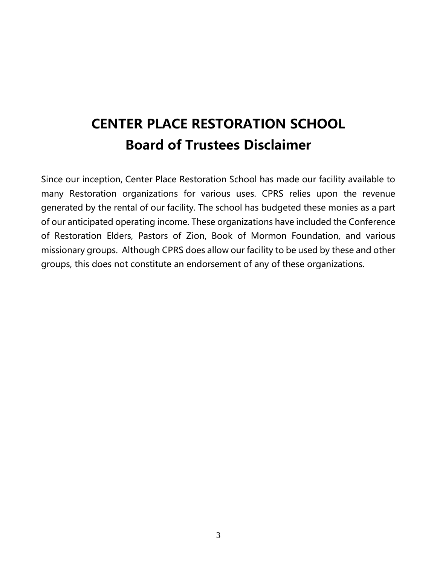### **CENTER PLACE RESTORATION SCHOOL Board of Trustees Disclaimer**

Since our inception, Center Place Restoration School has made our facility available to many Restoration organizations for various uses. CPRS relies upon the revenue generated by the rental of our facility. The school has budgeted these monies as a part of our anticipated operating income. These organizations have included the Conference of Restoration Elders, Pastors of Zion, Book of Mormon Foundation, and various missionary groups. Although CPRS does allow our facility to be used by these and other groups, this does not constitute an endorsement of any of these organizations.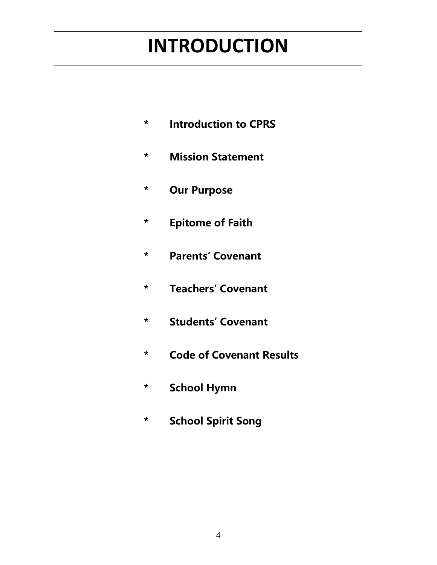## **INTRODUCTION**

- **\* Introduction to CPRS**
- **\* Mission Statement**
- **\* Our Purpose**
- **\* Epitome of Faith**
- **\* Parents' Covenant**
- **\* Teachers' Covenant**
- **\* Students' Covenant**
- **\* Code of Covenant Results**
- **\* School Hymn**
- **\* School Spirit Song**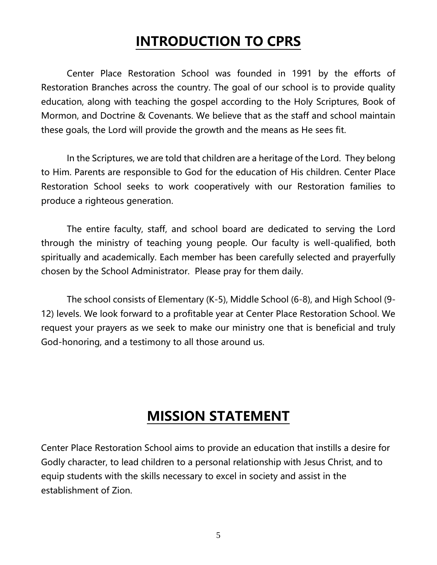### **INTRODUCTION TO CPRS**

Center Place Restoration School was founded in 1991 by the efforts of Restoration Branches across the country. The goal of our school is to provide quality education, along with teaching the gospel according to the Holy Scriptures, Book of Mormon, and Doctrine & Covenants. We believe that as the staff and school maintain these goals, the Lord will provide the growth and the means as He sees fit.

In the Scriptures, we are told that children are a heritage of the Lord. They belong to Him. Parents are responsible to God for the education of His children. Center Place Restoration School seeks to work cooperatively with our Restoration families to produce a righteous generation.

The entire faculty, staff, and school board are dedicated to serving the Lord through the ministry of teaching young people. Our faculty is well-qualified, both spiritually and academically. Each member has been carefully selected and prayerfully chosen by the School Administrator. Please pray for them daily.

The school consists of Elementary (K-5), Middle School (6-8), and High School (9- 12) levels. We look forward to a profitable year at Center Place Restoration School. We request your prayers as we seek to make our ministry one that is beneficial and truly God-honoring, and a testimony to all those around us.

### **MISSION STATEMENT**

Center Place Restoration School aims to provide an education that instills a desire for Godly character, to lead children to a personal relationship with Jesus Christ, and to equip students with the skills necessary to excel in society and assist in the establishment of Zion.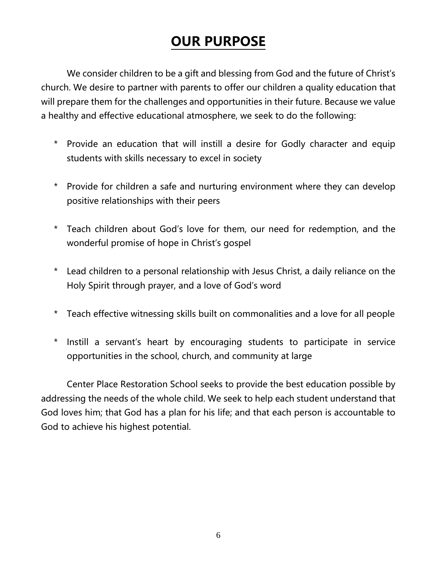### **OUR PURPOSE**

We consider children to be a gift and blessing from God and the future of Christ's church. We desire to partner with parents to offer our children a quality education that will prepare them for the challenges and opportunities in their future. Because we value a healthy and effective educational atmosphere, we seek to do the following:

- \* Provide an education that will instill a desire for Godly character and equip students with skills necessary to excel in society
- \* Provide for children a safe and nurturing environment where they can develop positive relationships with their peers
- \* Teach children about God's love for them, our need for redemption, and the wonderful promise of hope in Christ's gospel
- \* Lead children to a personal relationship with Jesus Christ, a daily reliance on the Holy Spirit through prayer, and a love of God's word
- \* Teach effective witnessing skills built on commonalities and a love for all people
- \* Instill a servant's heart by encouraging students to participate in service opportunities in the school, church, and community at large

Center Place Restoration School seeks to provide the best education possible by addressing the needs of the whole child. We seek to help each student understand that God loves him; that God has a plan for his life; and that each person is accountable to God to achieve his highest potential.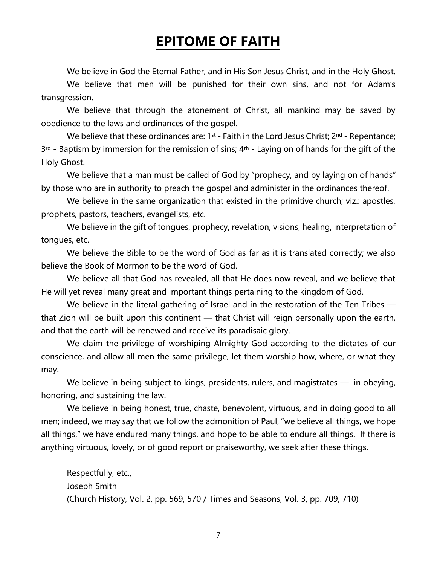### **EPITOME OF FAITH**

We believe in God the Eternal Father, and in His Son Jesus Christ, and in the Holy Ghost.

We believe that men will be punished for their own sins, and not for Adam's transgression.

We believe that through the atonement of Christ, all mankind may be saved by obedience to the laws and ordinances of the gospel.

We believe that these ordinances are:  $1^{st}$  - Faith in the Lord Jesus Christ;  $2^{nd}$  - Repentance;  $3<sup>rd</sup>$  - Baptism by immersion for the remission of sins;  $4<sup>th</sup>$  - Laying on of hands for the gift of the Holy Ghost.

We believe that a man must be called of God by "prophecy, and by laying on of hands" by those who are in authority to preach the gospel and administer in the ordinances thereof.

We believe in the same organization that existed in the primitive church; viz.: apostles, prophets, pastors, teachers, evangelists, etc.

We believe in the gift of tongues, prophecy, revelation, visions, healing, interpretation of tongues, etc.

We believe the Bible to be the word of God as far as it is translated correctly; we also believe the Book of Mormon to be the word of God.

We believe all that God has revealed, all that He does now reveal, and we believe that He will yet reveal many great and important things pertaining to the kingdom of God.

We believe in the literal gathering of Israel and in the restoration of the Ten Tribes that Zion will be built upon this continent — that Christ will reign personally upon the earth, and that the earth will be renewed and receive its paradisaic glory.

We claim the privilege of worshiping Almighty God according to the dictates of our conscience, and allow all men the same privilege, let them worship how, where, or what they may.

We believe in being subject to kings, presidents, rulers, and magistrates — in obeying, honoring, and sustaining the law.

We believe in being honest, true, chaste, benevolent, virtuous, and in doing good to all men; indeed, we may say that we follow the admonition of Paul, "we believe all things, we hope all things," we have endured many things, and hope to be able to endure all things. If there is anything virtuous, lovely, or of good report or praiseworthy, we seek after these things.

Respectfully, etc., Joseph Smith (Church History, Vol. 2, pp. 569, 570 / Times and Seasons, Vol. 3, pp. 709, 710)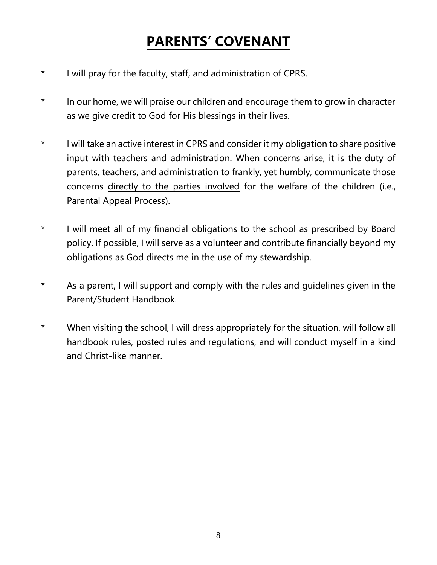### **PARENTS' COVENANT**

- \* I will pray for the faculty, staff, and administration of CPRS.
- \* In our home, we will praise our children and encourage them to grow in character as we give credit to God for His blessings in their lives.
- \* I will take an active interest in CPRS and consider it my obligation to share positive input with teachers and administration. When concerns arise, it is the duty of parents, teachers, and administration to frankly, yet humbly, communicate those concerns directly to the parties involved for the welfare of the children (i.e., Parental Appeal Process).
- \* I will meet all of my financial obligations to the school as prescribed by Board policy. If possible, I will serve as a volunteer and contribute financially beyond my obligations as God directs me in the use of my stewardship.
- \* As a parent, I will support and comply with the rules and guidelines given in the Parent/Student Handbook.
- \* When visiting the school, I will dress appropriately for the situation, will follow all handbook rules, posted rules and regulations, and will conduct myself in a kind and Christ-like manner.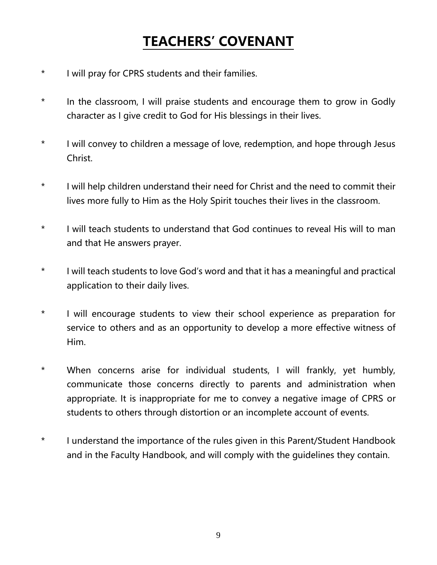### **TEACHERS' COVENANT**

- \* I will pray for CPRS students and their families.
- \* In the classroom, I will praise students and encourage them to grow in Godly character as I give credit to God for His blessings in their lives.
- \* I will convey to children a message of love, redemption, and hope through Jesus Christ.
- \* I will help children understand their need for Christ and the need to commit their lives more fully to Him as the Holy Spirit touches their lives in the classroom.
- \* I will teach students to understand that God continues to reveal His will to man and that He answers prayer.
- \* I will teach students to love God's word and that it has a meaningful and practical application to their daily lives.
- \* I will encourage students to view their school experience as preparation for service to others and as an opportunity to develop a more effective witness of Him.
- \* When concerns arise for individual students, I will frankly, yet humbly, communicate those concerns directly to parents and administration when appropriate. It is inappropriate for me to convey a negative image of CPRS or students to others through distortion or an incomplete account of events.
- \* I understand the importance of the rules given in this Parent/Student Handbook and in the Faculty Handbook, and will comply with the guidelines they contain.

9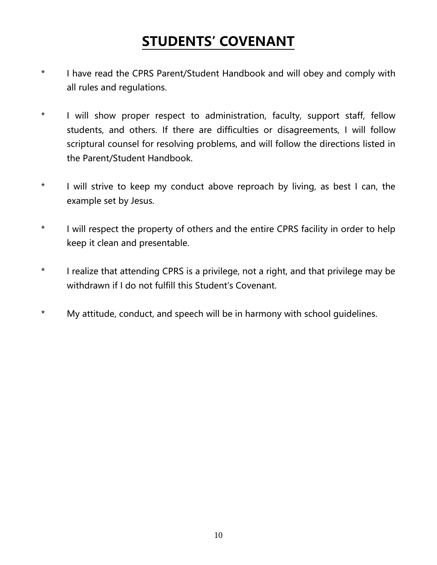### **STUDENTS' COVENANT**

- \* I have read the CPRS Parent/Student Handbook and will obey and comply with all rules and regulations.
- \* I will show proper respect to administration, faculty, support staff, fellow students, and others. If there are difficulties or disagreements, I will follow scriptural counsel for resolving problems, and will follow the directions listed in the Parent/Student Handbook.
- \* I will strive to keep my conduct above reproach by living, as best I can, the example set by Jesus.
- \* I will respect the property of others and the entire CPRS facility in order to help keep it clean and presentable.
- \* I realize that attending CPRS is a privilege, not a right, and that privilege may be withdrawn if I do not fulfill this Student's Covenant.
- \* My attitude, conduct, and speech will be in harmony with school guidelines.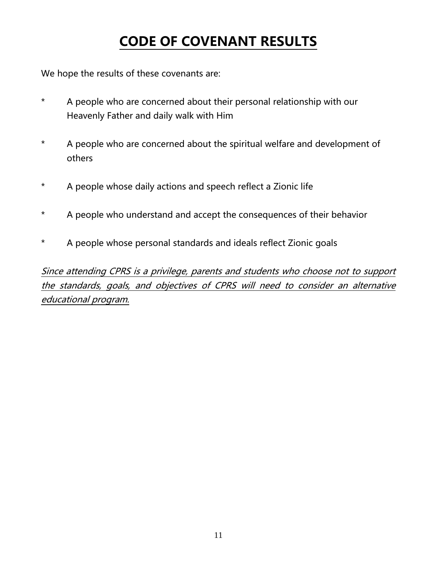### **CODE OF COVENANT RESULTS**

We hope the results of these covenants are:

- \* A people who are concerned about their personal relationship with our Heavenly Father and daily walk with Him
- \* A people who are concerned about the spiritual welfare and development of others
- \* A people whose daily actions and speech reflect a Zionic life
- \* A people who understand and accept the consequences of their behavior
- \* A people whose personal standards and ideals reflect Zionic goals

Since attending CPRS is a privilege, parents and students who choose not to support the standards, goals, and objectives of CPRS will need to consider an alternative educational program.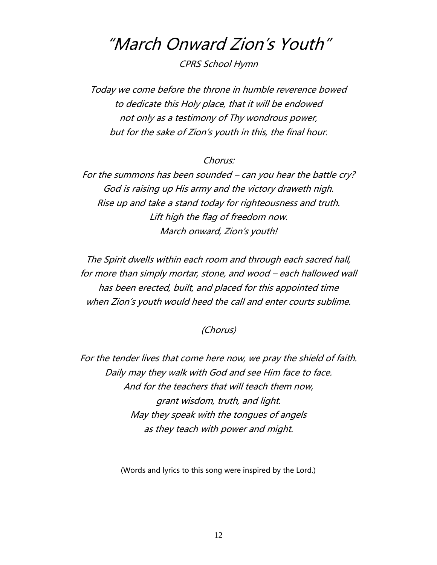### "March Onward Zion's Youth"

CPRS School Hymn

Today we come before the throne in humble reverence bowed to dedicate this Holy place, that it will be endowed not only as a testimony of Thy wondrous power, but for the sake of Zion's youth in this, the final hour.

#### Chorus:

For the summons has been sounded – can you hear the battle cry? God is raising up His army and the victory draweth nigh. Rise up and take a stand today for righteousness and truth. Lift high the flag of freedom now. March onward, Zion's youth!

The Spirit dwells within each room and through each sacred hall, for more than simply mortar, stone, and wood – each hallowed wall has been erected, built, and placed for this appointed time when Zion's youth would heed the call and enter courts sublime.

#### (Chorus)

For the tender lives that come here now, we pray the shield of faith. Daily may they walk with God and see Him face to face. And for the teachers that will teach them now, grant wisdom, truth, and light. May they speak with the tongues of angels as they teach with power and might.

(Words and lyrics to this song were inspired by the Lord.)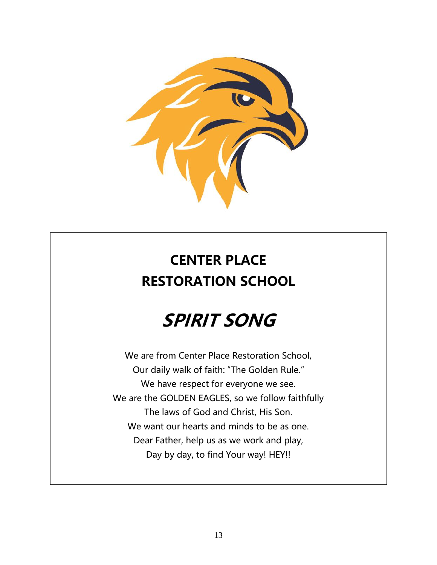

### **CENTER PLACE RESTORATION SCHOOL**

## **SPIRIT SONG**

We are from Center Place Restoration School, Our daily walk of faith: "The Golden Rule." We have respect for everyone we see. We are the GOLDEN EAGLES, so we follow faithfully The laws of God and Christ, His Son. We want our hearts and minds to be as one. Dear Father, help us as we work and play, Day by day, to find Your way! HEY!!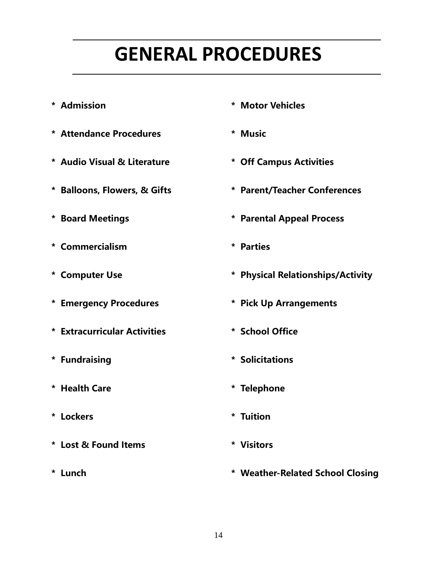## **GENERAL PROCEDURES**

- 
- **\* Attendance Procedures \* Music**
- **\* Audio Visual & Literature \* Off Campus Activities**
- 
- 
- **\* Commercialism \* Parties**
- 
- 
- **\* Extracurricular Activities \* School Office**
- 
- **\* Health Care \* Telephone**
- **\* Lockers \* Tuition**
- **\* Lost & Found Items \* Visitors**
- 
- **\* Admission \* Motor Vehicles**
	-
	-
- **\* Balloons, Flowers, & Gifts \* Parent/Teacher Conferences**
- **\* Board Meetings \* Parental Appeal Process**
	-
- **\* Computer Use \* Physical Relationships/Activity**
- **\* Emergency Procedures \* Pick Up Arrangements**
	-
- **\* Fundraising \* Solicitations** 
	-
	-
	-
- **\* Lunch \* Weather-Related School Closing**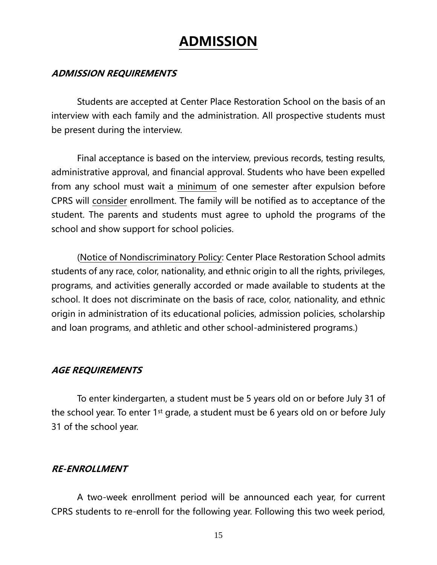### **ADMISSION**

#### **ADMISSION REQUIREMENTS**

Students are accepted at Center Place Restoration School on the basis of an interview with each family and the administration. All prospective students must be present during the interview.

Final acceptance is based on the interview, previous records, testing results, administrative approval, and financial approval. Students who have been expelled from any school must wait a minimum of one semester after expulsion before CPRS will consider enrollment. The family will be notified as to acceptance of the student. The parents and students must agree to uphold the programs of the school and show support for school policies.

(Notice of Nondiscriminatory Policy: Center Place Restoration School admits students of any race, color, nationality, and ethnic origin to all the rights, privileges, programs, and activities generally accorded or made available to students at the school. It does not discriminate on the basis of race, color, nationality, and ethnic origin in administration of its educational policies, admission policies, scholarship and loan programs, and athletic and other school-administered programs.)

#### **AGE REQUIREMENTS**

To enter kindergarten, a student must be 5 years old on or before July 31 of the school year. To enter 1<sup>st</sup> grade, a student must be 6 years old on or before July 31 of the school year.

#### **RE-ENROLLMENT**

A two-week enrollment period will be announced each year, for current CPRS students to re-enroll for the following year. Following this two week period,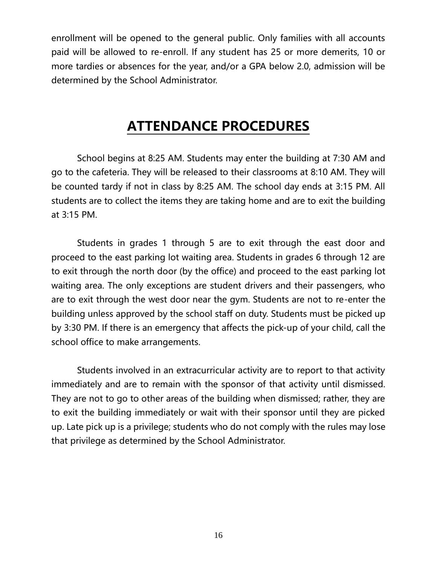enrollment will be opened to the general public. Only families with all accounts paid will be allowed to re-enroll. If any student has 25 or more demerits, 10 or more tardies or absences for the year, and/or a GPA below 2.0, admission will be determined by the School Administrator.

### **ATTENDANCE PROCEDURES**

School begins at 8:25 AM. Students may enter the building at 7:30 AM and go to the cafeteria. They will be released to their classrooms at 8:10 AM. They will be counted tardy if not in class by 8:25 AM. The school day ends at 3:15 PM. All students are to collect the items they are taking home and are to exit the building at 3:15 PM.

Students in grades 1 through 5 are to exit through the east door and proceed to the east parking lot waiting area. Students in grades 6 through 12 are to exit through the north door (by the office) and proceed to the east parking lot waiting area. The only exceptions are student drivers and their passengers, who are to exit through the west door near the gym. Students are not to re-enter the building unless approved by the school staff on duty. Students must be picked up by 3:30 PM. If there is an emergency that affects the pick-up of your child, call the school office to make arrangements.

Students involved in an extracurricular activity are to report to that activity immediately and are to remain with the sponsor of that activity until dismissed. They are not to go to other areas of the building when dismissed; rather, they are to exit the building immediately or wait with their sponsor until they are picked up. Late pick up is a privilege; students who do not comply with the rules may lose that privilege as determined by the School Administrator.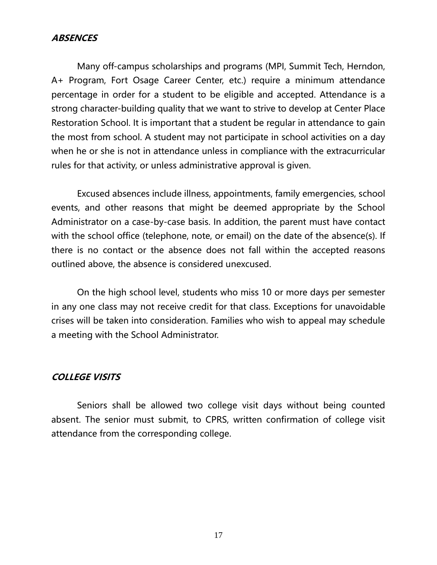#### **ABSENCES**

Many off-campus scholarships and programs (MPI, Summit Tech, Herndon, A+ Program, Fort Osage Career Center, etc.) require a minimum attendance percentage in order for a student to be eligible and accepted. Attendance is a strong character-building quality that we want to strive to develop at Center Place Restoration School. It is important that a student be regular in attendance to gain the most from school. A student may not participate in school activities on a day when he or she is not in attendance unless in compliance with the extracurricular rules for that activity, or unless administrative approval is given.

Excused absences include illness, appointments, family emergencies, school events, and other reasons that might be deemed appropriate by the School Administrator on a case-by-case basis. In addition, the parent must have contact with the school office (telephone, note, or email) on the date of the absence(s). If there is no contact or the absence does not fall within the accepted reasons outlined above, the absence is considered unexcused.

On the high school level, students who miss 10 or more days per semester in any one class may not receive credit for that class. Exceptions for unavoidable crises will be taken into consideration. Families who wish to appeal may schedule a meeting with the School Administrator.

#### **COLLEGE VISITS**

Seniors shall be allowed two college visit days without being counted absent. The senior must submit, to CPRS, written confirmation of college visit attendance from the corresponding college.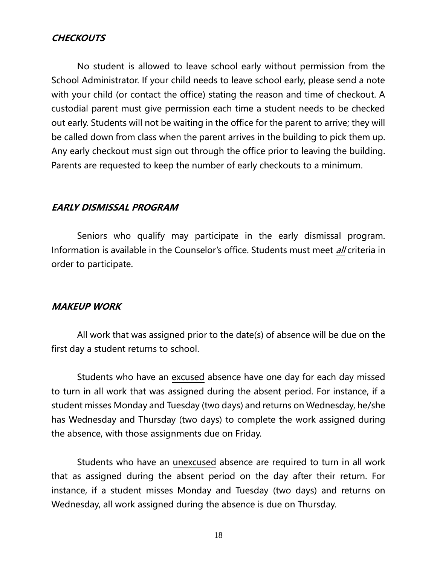#### **CHECKOUTS**

No student is allowed to leave school early without permission from the School Administrator. If your child needs to leave school early, please send a note with your child (or contact the office) stating the reason and time of checkout. A custodial parent must give permission each time a student needs to be checked out early. Students will not be waiting in the office for the parent to arrive; they will be called down from class when the parent arrives in the building to pick them up. Any early checkout must sign out through the office prior to leaving the building. Parents are requested to keep the number of early checkouts to a minimum.

#### **EARLY DISMISSAL PROGRAM**

Seniors who qualify may participate in the early dismissal program. Information is available in the Counselor's office. Students must meet *all* criteria in order to participate.

#### **MAKEUP WORK**

All work that was assigned prior to the date(s) of absence will be due on the first day a student returns to school.

Students who have an excused absence have one day for each day missed to turn in all work that was assigned during the absent period. For instance, if a student misses Monday and Tuesday (two days) and returns on Wednesday, he/she has Wednesday and Thursday (two days) to complete the work assigned during the absence, with those assignments due on Friday.

Students who have an unexcused absence are required to turn in all work that as assigned during the absent period on the day after their return. For instance, if a student misses Monday and Tuesday (two days) and returns on Wednesday, all work assigned during the absence is due on Thursday.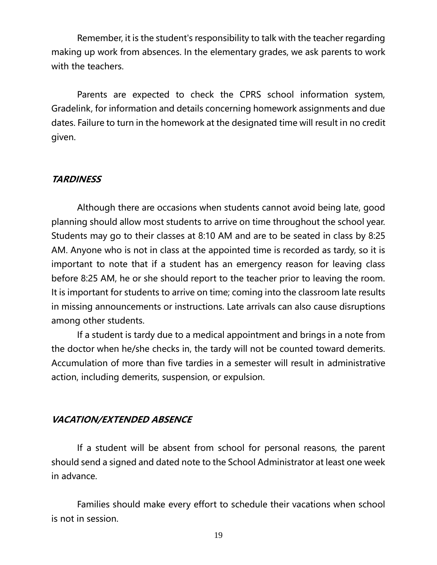Remember, it is the student's responsibility to talk with the teacher regarding making up work from absences. In the elementary grades, we ask parents to work with the teachers.

Parents are expected to check the CPRS school information system, Gradelink, for information and details concerning homework assignments and due dates. Failure to turn in the homework at the designated time will result in no credit given.

#### **TARDINESS**

Although there are occasions when students cannot avoid being late, good planning should allow most students to arrive on time throughout the school year. Students may go to their classes at 8:10 AM and are to be seated in class by 8:25 AM. Anyone who is not in class at the appointed time is recorded as tardy, so it is important to note that if a student has an emergency reason for leaving class before 8:25 AM, he or she should report to the teacher prior to leaving the room. It is important for students to arrive on time; coming into the classroom late results in missing announcements or instructions. Late arrivals can also cause disruptions among other students.

If a student is tardy due to a medical appointment and brings in a note from the doctor when he/she checks in, the tardy will not be counted toward demerits. Accumulation of more than five tardies in a semester will result in administrative action, including demerits, suspension, or expulsion.

#### **VACATION/EXTENDED ABSENCE**

If a student will be absent from school for personal reasons, the parent should send a signed and dated note to the School Administrator at least one week in advance.

Families should make every effort to schedule their vacations when school is not in session.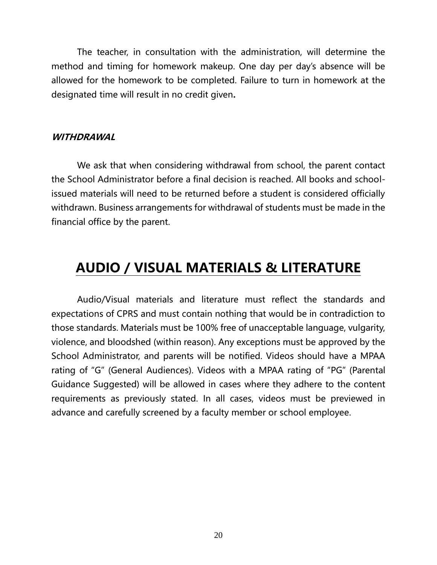The teacher, in consultation with the administration, will determine the method and timing for homework makeup. One day per day's absence will be allowed for the homework to be completed. Failure to turn in homework at the designated time will result in no credit given**.**

#### **WITHDRAWAL**

We ask that when considering withdrawal from school, the parent contact the School Administrator before a final decision is reached. All books and schoolissued materials will need to be returned before a student is considered officially withdrawn. Business arrangements for withdrawal of students must be made in the financial office by the parent.

### **AUDIO / VISUAL MATERIALS & LITERATURE**

Audio/Visual materials and literature must reflect the standards and expectations of CPRS and must contain nothing that would be in contradiction to those standards. Materials must be 100% free of unacceptable language, vulgarity, violence, and bloodshed (within reason). Any exceptions must be approved by the School Administrator, and parents will be notified. Videos should have a MPAA rating of "G" (General Audiences). Videos with a MPAA rating of "PG" (Parental Guidance Suggested) will be allowed in cases where they adhere to the content requirements as previously stated. In all cases, videos must be previewed in advance and carefully screened by a faculty member or school employee.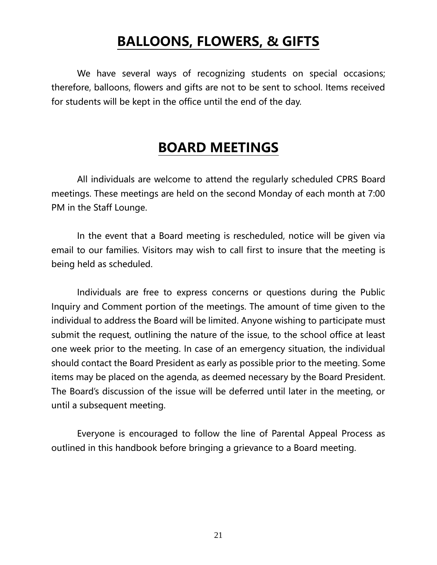### **BALLOONS, FLOWERS, & GIFTS**

We have several ways of recognizing students on special occasions; therefore, balloons, flowers and gifts are not to be sent to school. Items received for students will be kept in the office until the end of the day.

### **BOARD MEETINGS**

All individuals are welcome to attend the regularly scheduled CPRS Board meetings. These meetings are held on the second Monday of each month at 7:00 PM in the Staff Lounge.

In the event that a Board meeting is rescheduled, notice will be given via email to our families. Visitors may wish to call first to insure that the meeting is being held as scheduled.

Individuals are free to express concerns or questions during the Public Inquiry and Comment portion of the meetings. The amount of time given to the individual to address the Board will be limited. Anyone wishing to participate must submit the request, outlining the nature of the issue, to the school office at least one week prior to the meeting. In case of an emergency situation, the individual should contact the Board President as early as possible prior to the meeting. Some items may be placed on the agenda, as deemed necessary by the Board President. The Board's discussion of the issue will be deferred until later in the meeting, or until a subsequent meeting.

Everyone is encouraged to follow the line of Parental Appeal Process as outlined in this handbook before bringing a grievance to a Board meeting.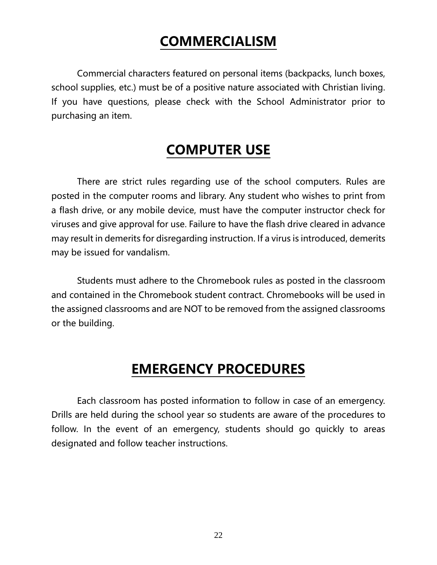### **COMMERCIALISM**

Commercial characters featured on personal items (backpacks, lunch boxes, school supplies, etc.) must be of a positive nature associated with Christian living. If you have questions, please check with the School Administrator prior to purchasing an item.

### **COMPUTER USE**

There are strict rules regarding use of the school computers. Rules are posted in the computer rooms and library. Any student who wishes to print from a flash drive, or any mobile device, must have the computer instructor check for viruses and give approval for use. Failure to have the flash drive cleared in advance may result in demerits for disregarding instruction. If a virus is introduced, demerits may be issued for vandalism.

Students must adhere to the Chromebook rules as posted in the classroom and contained in the Chromebook student contract. Chromebooks will be used in the assigned classrooms and are NOT to be removed from the assigned classrooms or the building.

### **EMERGENCY PROCEDURES**

Each classroom has posted information to follow in case of an emergency. Drills are held during the school year so students are aware of the procedures to follow. In the event of an emergency, students should go quickly to areas designated and follow teacher instructions.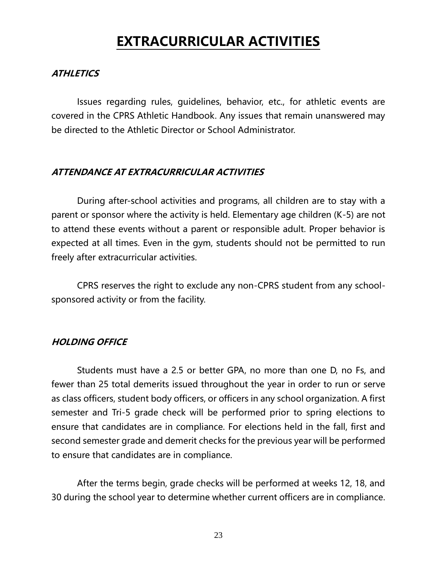### **EXTRACURRICULAR ACTIVITIES**

#### **ATHLETICS**

Issues regarding rules, guidelines, behavior, etc., for athletic events are covered in the CPRS Athletic Handbook. Any issues that remain unanswered may be directed to the Athletic Director or School Administrator.

#### **ATTENDANCE AT EXTRACURRICULAR ACTIVITIES**

During after-school activities and programs, all children are to stay with a parent or sponsor where the activity is held. Elementary age children (K-5) are not to attend these events without a parent or responsible adult. Proper behavior is expected at all times. Even in the gym, students should not be permitted to run freely after extracurricular activities.

CPRS reserves the right to exclude any non-CPRS student from any schoolsponsored activity or from the facility.

#### **HOLDING OFFICE**

Students must have a 2.5 or better GPA, no more than one D, no Fs, and fewer than 25 total demerits issued throughout the year in order to run or serve as class officers, student body officers, or officers in any school organization. A first semester and Tri-5 grade check will be performed prior to spring elections to ensure that candidates are in compliance. For elections held in the fall, first and second semester grade and demerit checks for the previous year will be performed to ensure that candidates are in compliance.

After the terms begin, grade checks will be performed at weeks 12, 18, and 30 during the school year to determine whether current officers are in compliance.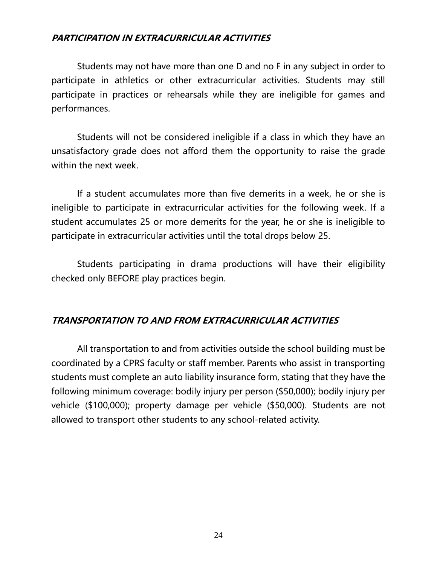#### **PARTICIPATION IN EXTRACURRICULAR ACTIVITIES**

Students may not have more than one D and no F in any subject in order to participate in athletics or other extracurricular activities. Students may still participate in practices or rehearsals while they are ineligible for games and performances.

Students will not be considered ineligible if a class in which they have an unsatisfactory grade does not afford them the opportunity to raise the grade within the next week.

If a student accumulates more than five demerits in a week, he or she is ineligible to participate in extracurricular activities for the following week. If a student accumulates 25 or more demerits for the year, he or she is ineligible to participate in extracurricular activities until the total drops below 25.

Students participating in drama productions will have their eligibility checked only BEFORE play practices begin.

#### **TRANSPORTATION TO AND FROM EXTRACURRICULAR ACTIVITIES**

All transportation to and from activities outside the school building must be coordinated by a CPRS faculty or staff member. Parents who assist in transporting students must complete an auto liability insurance form, stating that they have the following minimum coverage: bodily injury per person (\$50,000); bodily injury per vehicle (\$100,000); property damage per vehicle (\$50,000). Students are not allowed to transport other students to any school-related activity.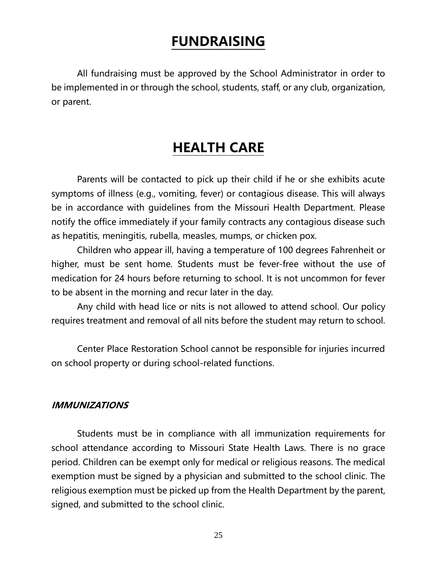### **FUNDRAISING**

All fundraising must be approved by the School Administrator in order to be implemented in or through the school, students, staff, or any club, organization, or parent.

### **HEALTH CARE**

Parents will be contacted to pick up their child if he or she exhibits acute symptoms of illness (e.g., vomiting, fever) or contagious disease. This will always be in accordance with guidelines from the Missouri Health Department. Please notify the office immediately if your family contracts any contagious disease such as hepatitis, meningitis, rubella, measles, mumps, or chicken pox.

Children who appear ill, having a temperature of 100 degrees Fahrenheit or higher, must be sent home. Students must be fever-free without the use of medication for 24 hours before returning to school. It is not uncommon for fever to be absent in the morning and recur later in the day.

Any child with head lice or nits is not allowed to attend school. Our policy requires treatment and removal of all nits before the student may return to school.

Center Place Restoration School cannot be responsible for injuries incurred on school property or during school-related functions.

#### **IMMUNIZATIONS**

Students must be in compliance with all immunization requirements for school attendance according to Missouri State Health Laws. There is no grace period. Children can be exempt only for medical or religious reasons. The medical exemption must be signed by a physician and submitted to the school clinic. The religious exemption must be picked up from the Health Department by the parent, signed, and submitted to the school clinic.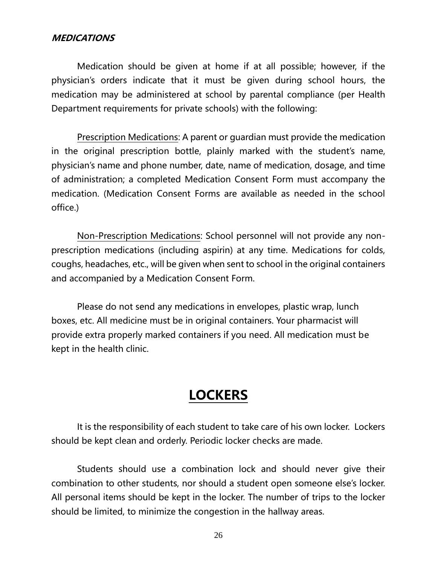#### **MEDICATIONS**

Medication should be given at home if at all possible; however, if the physician's orders indicate that it must be given during school hours, the medication may be administered at school by parental compliance (per Health Department requirements for private schools) with the following:

Prescription Medications: A parent or guardian must provide the medication in the original prescription bottle, plainly marked with the student's name, physician's name and phone number, date, name of medication, dosage, and time of administration; a completed Medication Consent Form must accompany the medication. (Medication Consent Forms are available as needed in the school office.)

Non-Prescription Medications: School personnel will not provide any nonprescription medications (including aspirin) at any time. Medications for colds, coughs, headaches, etc., will be given when sent to school in the original containers and accompanied by a Medication Consent Form.

Please do not send any medications in envelopes, plastic wrap, lunch boxes, etc. All medicine must be in original containers. Your pharmacist will provide extra properly marked containers if you need. All medication must be kept in the health clinic.

### **LOCKERS**

It is the responsibility of each student to take care of his own locker. Lockers should be kept clean and orderly. Periodic locker checks are made.

Students should use a combination lock and should never give their combination to other students, nor should a student open someone else's locker. All personal items should be kept in the locker. The number of trips to the locker should be limited, to minimize the congestion in the hallway areas.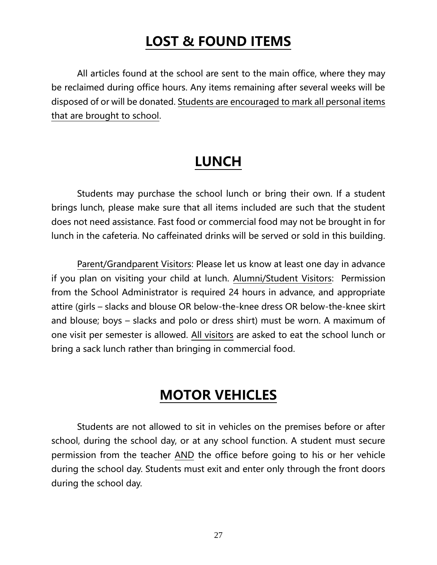### **LOST & FOUND ITEMS**

All articles found at the school are sent to the main office, where they may be reclaimed during office hours. Any items remaining after several weeks will be disposed of or will be donated. Students are encouraged to mark all personal items that are brought to school.

### **LUNCH**

Students may purchase the school lunch or bring their own. If a student brings lunch, please make sure that all items included are such that the student does not need assistance. Fast food or commercial food may not be brought in for lunch in the cafeteria. No caffeinated drinks will be served or sold in this building.

Parent/Grandparent Visitors: Please let us know at least one day in advance if you plan on visiting your child at lunch. Alumni/Student Visitors: Permission from the School Administrator is required 24 hours in advance, and appropriate attire (girls – slacks and blouse OR below-the-knee dress OR below-the-knee skirt and blouse; boys – slacks and polo or dress shirt) must be worn. A maximum of one visit per semester is allowed. All visitors are asked to eat the school lunch or bring a sack lunch rather than bringing in commercial food.

### **MOTOR VEHICLES**

Students are not allowed to sit in vehicles on the premises before or after school, during the school day, or at any school function. A student must secure permission from the teacher AND the office before going to his or her vehicle during the school day. Students must exit and enter only through the front doors during the school day.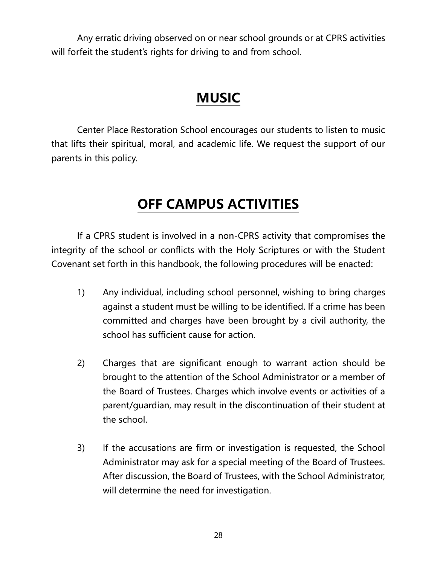Any erratic driving observed on or near school grounds or at CPRS activities will forfeit the student's rights for driving to and from school.

### **MUSIC**

Center Place Restoration School encourages our students to listen to music that lifts their spiritual, moral, and academic life. We request the support of our parents in this policy.

### **OFF CAMPUS ACTIVITIES**

If a CPRS student is involved in a non-CPRS activity that compromises the integrity of the school or conflicts with the Holy Scriptures or with the Student Covenant set forth in this handbook, the following procedures will be enacted:

- 1) Any individual, including school personnel, wishing to bring charges against a student must be willing to be identified. If a crime has been committed and charges have been brought by a civil authority, the school has sufficient cause for action.
- 2) Charges that are significant enough to warrant action should be brought to the attention of the School Administrator or a member of the Board of Trustees. Charges which involve events or activities of a parent/guardian, may result in the discontinuation of their student at the school.
- 3) If the accusations are firm or investigation is requested, the School Administrator may ask for a special meeting of the Board of Trustees. After discussion, the Board of Trustees, with the School Administrator, will determine the need for investigation.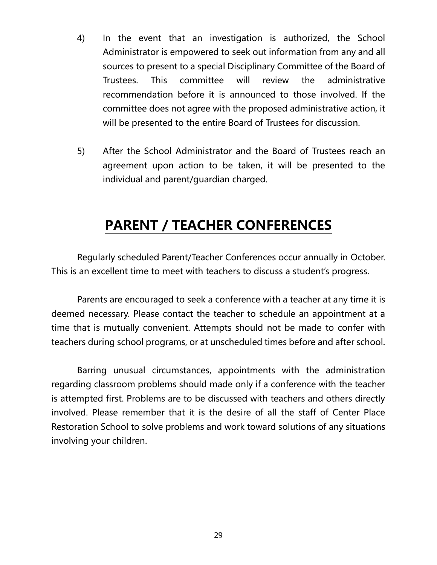- 4) In the event that an investigation is authorized, the School Administrator is empowered to seek out information from any and all sources to present to a special Disciplinary Committee of the Board of Trustees. This committee will review the administrative recommendation before it is announced to those involved. If the committee does not agree with the proposed administrative action, it will be presented to the entire Board of Trustees for discussion.
- 5) After the School Administrator and the Board of Trustees reach an agreement upon action to be taken, it will be presented to the individual and parent/guardian charged.

### **PARENT / TEACHER CONFERENCES**

Regularly scheduled Parent/Teacher Conferences occur annually in October. This is an excellent time to meet with teachers to discuss a student's progress.

Parents are encouraged to seek a conference with a teacher at any time it is deemed necessary. Please contact the teacher to schedule an appointment at a time that is mutually convenient. Attempts should not be made to confer with teachers during school programs, or at unscheduled times before and after school.

Barring unusual circumstances, appointments with the administration regarding classroom problems should made only if a conference with the teacher is attempted first. Problems are to be discussed with teachers and others directly involved. Please remember that it is the desire of all the staff of Center Place Restoration School to solve problems and work toward solutions of any situations involving your children.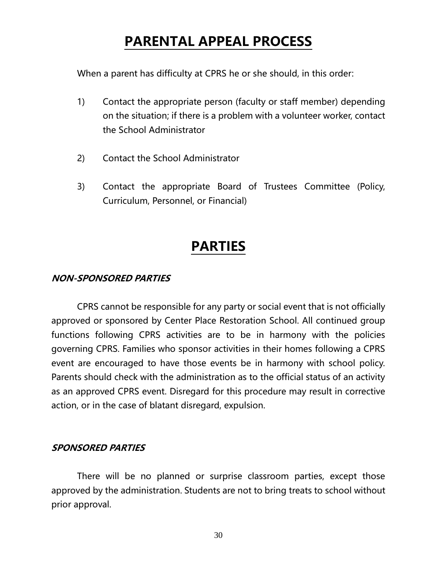### **PARENTAL APPEAL PROCESS**

When a parent has difficulty at CPRS he or she should, in this order:

- 1) Contact the appropriate person (faculty or staff member) depending on the situation; if there is a problem with a volunteer worker, contact the School Administrator
- 2) Contact the School Administrator
- 3) Contact the appropriate Board of Trustees Committee (Policy, Curriculum, Personnel, or Financial)

### **PARTIES**

#### **NON-SPONSORED PARTIES**

CPRS cannot be responsible for any party or social event that is not officially approved or sponsored by Center Place Restoration School. All continued group functions following CPRS activities are to be in harmony with the policies governing CPRS. Families who sponsor activities in their homes following a CPRS event are encouraged to have those events be in harmony with school policy. Parents should check with the administration as to the official status of an activity as an approved CPRS event. Disregard for this procedure may result in corrective action, or in the case of blatant disregard, expulsion.

#### **SPONSORED PARTIES**

There will be no planned or surprise classroom parties, except those approved by the administration. Students are not to bring treats to school without prior approval.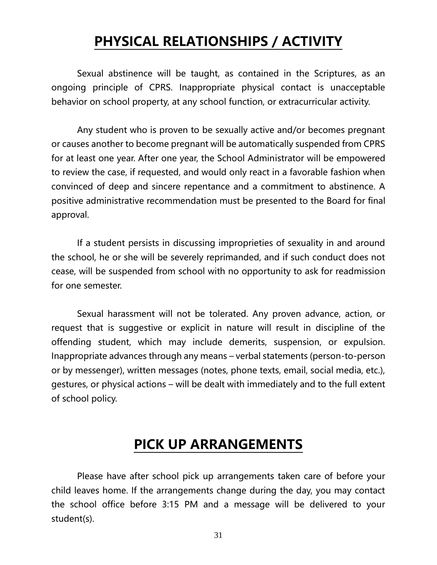### **PHYSICAL RELATIONSHIPS / ACTIVITY**

Sexual abstinence will be taught, as contained in the Scriptures, as an ongoing principle of CPRS. Inappropriate physical contact is unacceptable behavior on school property, at any school function, or extracurricular activity.

Any student who is proven to be sexually active and/or becomes pregnant or causes another to become pregnant will be automatically suspended from CPRS for at least one year. After one year, the School Administrator will be empowered to review the case, if requested, and would only react in a favorable fashion when convinced of deep and sincere repentance and a commitment to abstinence. A positive administrative recommendation must be presented to the Board for final approval.

If a student persists in discussing improprieties of sexuality in and around the school, he or she will be severely reprimanded, and if such conduct does not cease, will be suspended from school with no opportunity to ask for readmission for one semester.

Sexual harassment will not be tolerated. Any proven advance, action, or request that is suggestive or explicit in nature will result in discipline of the offending student, which may include demerits, suspension, or expulsion. Inappropriate advances through any means – verbal statements (person-to-person or by messenger), written messages (notes, phone texts, email, social media, etc.), gestures, or physical actions – will be dealt with immediately and to the full extent of school policy.

### **PICK UP ARRANGEMENTS**

Please have after school pick up arrangements taken care of before your child leaves home. If the arrangements change during the day, you may contact the school office before 3:15 PM and a message will be delivered to your student(s).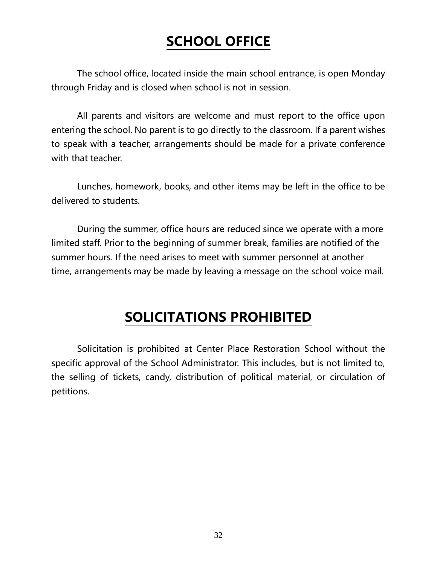### **SCHOOL OFFICE**

The school office, located inside the main school entrance, is open Monday through Friday and is closed when school is not in session.

All parents and visitors are welcome and must report to the office upon entering the school. No parent is to go directly to the classroom. If a parent wishes to speak with a teacher, arrangements should be made for a private conference with that teacher.

Lunches, homework, books, and other items may be left in the office to be delivered to students.

During the summer, office hours are reduced since we operate with a more limited staff. Prior to the beginning of summer break, families are notified of the summer hours. If the need arises to meet with summer personnel at another time, arrangements may be made by leaving a message on the school voice mail.

### **SOLICITATIONS PROHIBITED**

Solicitation is prohibited at Center Place Restoration School without the specific approval of the School Administrator. This includes, but is not limited to, the selling of tickets, candy, distribution of political material, or circulation of petitions.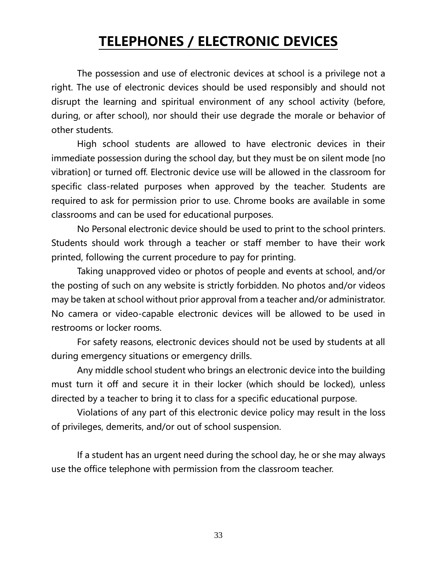### **TELEPHONES / ELECTRONIC DEVICES**

The possession and use of electronic devices at school is a privilege not a right. The use of electronic devices should be used responsibly and should not disrupt the learning and spiritual environment of any school activity (before, during, or after school), nor should their use degrade the morale or behavior of other students.

High school students are allowed to have electronic devices in their immediate possession during the school day, but they must be on silent mode [no vibration] or turned off. Electronic device use will be allowed in the classroom for specific class-related purposes when approved by the teacher. Students are required to ask for permission prior to use. Chrome books are available in some classrooms and can be used for educational purposes.

No Personal electronic device should be used to print to the school printers. Students should work through a teacher or staff member to have their work printed, following the current procedure to pay for printing.

Taking unapproved video or photos of people and events at school, and/or the posting of such on any website is strictly forbidden. No photos and/or videos may be taken at school without prior approval from a teacher and/or administrator. No camera or video-capable electronic devices will be allowed to be used in restrooms or locker rooms.

For safety reasons, electronic devices should not be used by students at all during emergency situations or emergency drills.

Any middle school student who brings an electronic device into the building must turn it off and secure it in their locker (which should be locked), unless directed by a teacher to bring it to class for a specific educational purpose.

Violations of any part of this electronic device policy may result in the loss of privileges, demerits, and/or out of school suspension.

If a student has an urgent need during the school day, he or she may always use the office telephone with permission from the classroom teacher.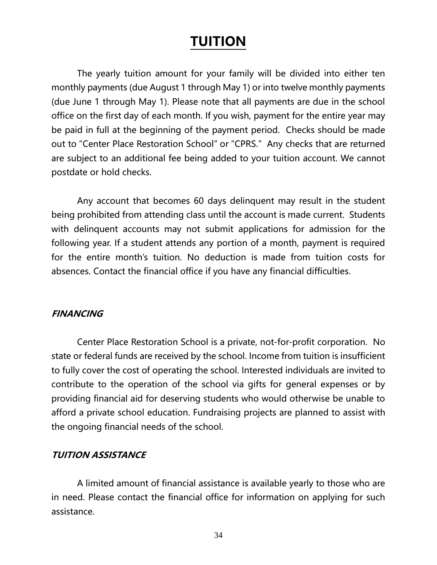### **TUITION**

The yearly tuition amount for your family will be divided into either ten monthly payments (due August 1 through May 1) or into twelve monthly payments (due June 1 through May 1). Please note that all payments are due in the school office on the first day of each month. If you wish, payment for the entire year may be paid in full at the beginning of the payment period. Checks should be made out to "Center Place Restoration School" or "CPRS." Any checks that are returned are subject to an additional fee being added to your tuition account. We cannot postdate or hold checks.

Any account that becomes 60 days delinquent may result in the student being prohibited from attending class until the account is made current. Students with delinquent accounts may not submit applications for admission for the following year. If a student attends any portion of a month, payment is required for the entire month's tuition. No deduction is made from tuition costs for absences. Contact the financial office if you have any financial difficulties.

#### **FINANCING**

Center Place Restoration School is a private, not-for-profit corporation. No state or federal funds are received by the school. Income from tuition is insufficient to fully cover the cost of operating the school. Interested individuals are invited to contribute to the operation of the school via gifts for general expenses or by providing financial aid for deserving students who would otherwise be unable to afford a private school education. Fundraising projects are planned to assist with the ongoing financial needs of the school.

#### **TUITION ASSISTANCE**

A limited amount of financial assistance is available yearly to those who are in need. Please contact the financial office for information on applying for such assistance.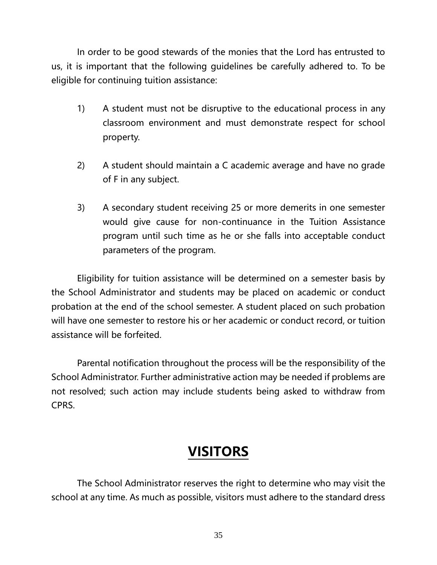In order to be good stewards of the monies that the Lord has entrusted to us, it is important that the following guidelines be carefully adhered to. To be eligible for continuing tuition assistance:

- 1) A student must not be disruptive to the educational process in any classroom environment and must demonstrate respect for school property.
- 2) A student should maintain a C academic average and have no grade of F in any subject.
- 3) A secondary student receiving 25 or more demerits in one semester would give cause for non-continuance in the Tuition Assistance program until such time as he or she falls into acceptable conduct parameters of the program.

Eligibility for tuition assistance will be determined on a semester basis by the School Administrator and students may be placed on academic or conduct probation at the end of the school semester. A student placed on such probation will have one semester to restore his or her academic or conduct record, or tuition assistance will be forfeited.

Parental notification throughout the process will be the responsibility of the School Administrator. Further administrative action may be needed if problems are not resolved; such action may include students being asked to withdraw from CPRS.

### **VISITORS**

The School Administrator reserves the right to determine who may visit the school at any time. As much as possible, visitors must adhere to the standard dress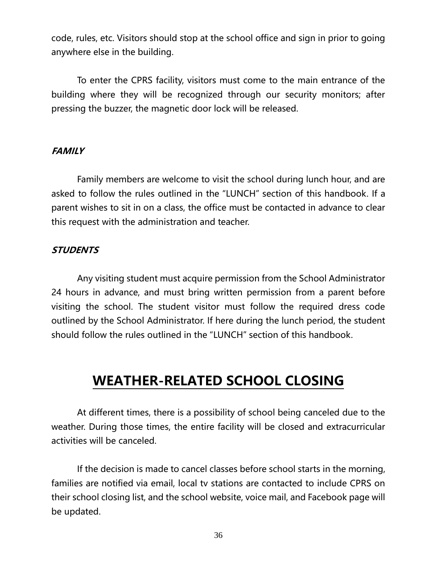code, rules, etc. Visitors should stop at the school office and sign in prior to going anywhere else in the building.

To enter the CPRS facility, visitors must come to the main entrance of the building where they will be recognized through our security monitors; after pressing the buzzer, the magnetic door lock will be released.

#### **FAMILY**

Family members are welcome to visit the school during lunch hour, and are asked to follow the rules outlined in the "LUNCH" section of this handbook. If a parent wishes to sit in on a class, the office must be contacted in advance to clear this request with the administration and teacher.

#### **STUDENTS**

Any visiting student must acquire permission from the School Administrator 24 hours in advance, and must bring written permission from a parent before visiting the school. The student visitor must follow the required dress code outlined by the School Administrator. If here during the lunch period, the student should follow the rules outlined in the "LUNCH" section of this handbook.

### **WEATHER-RELATED SCHOOL CLOSING**

At different times, there is a possibility of school being canceled due to the weather. During those times, the entire facility will be closed and extracurricular activities will be canceled.

If the decision is made to cancel classes before school starts in the morning, families are notified via email, local tv stations are contacted to include CPRS on their school closing list, and the school website, voice mail, and Facebook page will be updated.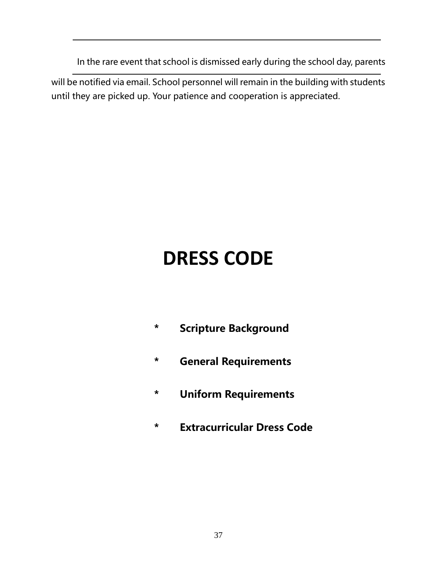In the rare event that school is dismissed early during the school day, parents

will be notified via email. School personnel will remain in the building with students until they are picked up. Your patience and cooperation is appreciated.

## **DRESS CODE**

- **\* Scripture Background**
- **\* General Requirements**
- **\* Uniform Requirements**
- **\* Extracurricular Dress Code**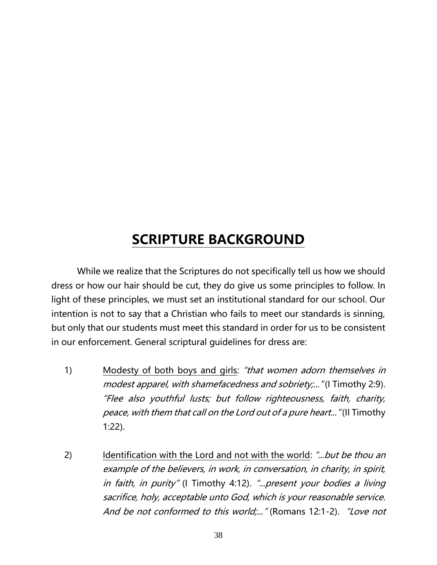### **SCRIPTURE BACKGROUND**

While we realize that the Scriptures do not specifically tell us how we should dress or how our hair should be cut, they do give us some principles to follow. In light of these principles, we must set an institutional standard for our school. Our intention is not to say that a Christian who fails to meet our standards is sinning, but only that our students must meet this standard in order for us to be consistent in our enforcement. General scriptural guidelines for dress are:

- 1) Modesty of both boys and girls: "that women adorn themselves in modest apparel, with shamefacedness and sobriety;..." (I Timothy 2:9). "Flee also youthful lusts; but follow righteousness, faith, charity, peace, with them that call on the Lord out of a pure heart..." (II Timothy 1:22).
- 2) Identification with the Lord and not with the world: "...but be thou an example of the believers, in work, in conversation, in charity, in spirit, in faith, in purity" (I Timothy 4:12). "...present your bodies a living sacrifice, holy, acceptable unto God, which is your reasonable service. And be not conformed to this world;..." (Romans 12:1-2). "Love not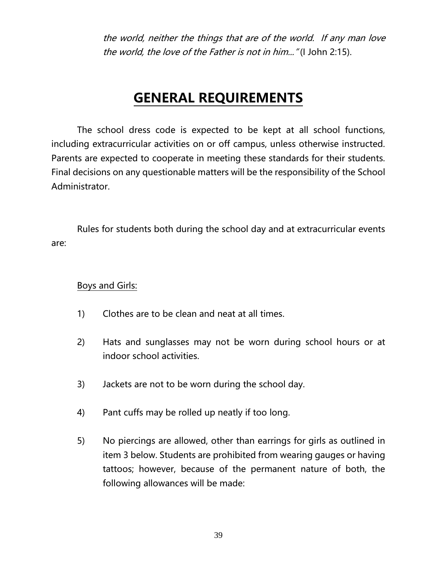the world, neither the things that are of the world. If any man love the world, the love of the Father is not in him..." (I John 2:15).

### **GENERAL REQUIREMENTS**

The school dress code is expected to be kept at all school functions, including extracurricular activities on or off campus, unless otherwise instructed. Parents are expected to cooperate in meeting these standards for their students. Final decisions on any questionable matters will be the responsibility of the School Administrator.

Rules for students both during the school day and at extracurricular events are:

#### Boys and Girls:

- 1) Clothes are to be clean and neat at all times.
- 2) Hats and sunglasses may not be worn during school hours or at indoor school activities.
- 3) Jackets are not to be worn during the school day.
- 4) Pant cuffs may be rolled up neatly if too long.
- 5) No piercings are allowed, other than earrings for girls as outlined in item 3 below. Students are prohibited from wearing gauges or having tattoos; however, because of the permanent nature of both, the following allowances will be made: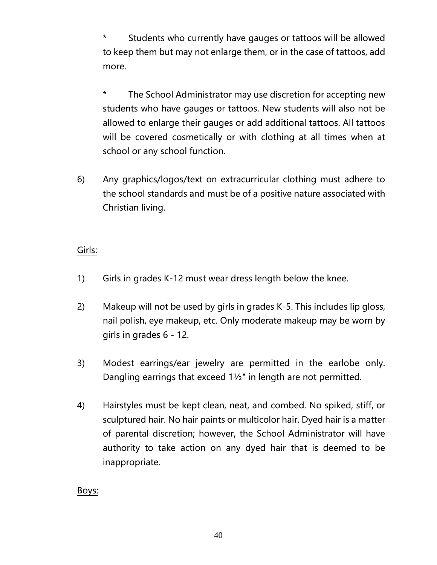\* Students who currently have gauges or tattoos will be allowed to keep them but may not enlarge them, or in the case of tattoos, add more.

\* The School Administrator may use discretion for accepting new students who have gauges or tattoos. New students will also not be allowed to enlarge their gauges or add additional tattoos. All tattoos will be covered cosmetically or with clothing at all times when at school or any school function.

6) Any graphics/logos/text on extracurricular clothing must adhere to the school standards and must be of a positive nature associated with Christian living.

#### Girls:

- 1) Girls in grades K-12 must wear dress length below the knee.
- 2) Makeup will not be used by girls in grades K-5. This includes lip gloss, nail polish, eye makeup, etc. Only moderate makeup may be worn by girls in grades 6 - 12.
- 3) Modest earrings/ear jewelry are permitted in the earlobe only. Dangling earrings that exceed 1½" in length are not permitted.
- 4) Hairstyles must be kept clean, neat, and combed. No spiked, stiff, or sculptured hair. No hair paints or multicolor hair. Dyed hair is a matter of parental discretion; however, the School Administrator will have authority to take action on any dyed hair that is deemed to be inappropriate.

Boys: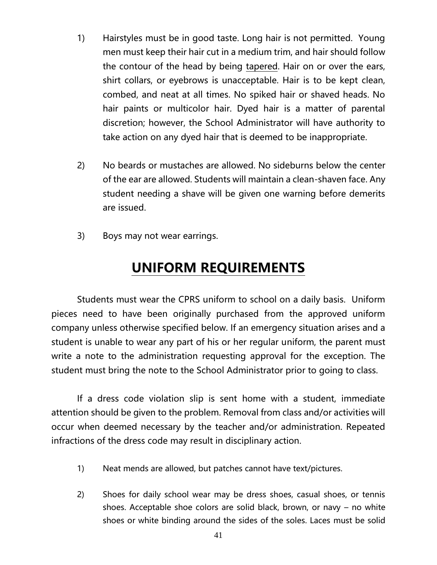- 1) Hairstyles must be in good taste. Long hair is not permitted. Young men must keep their hair cut in a medium trim, and hair should follow the contour of the head by being tapered. Hair on or over the ears, shirt collars, or eyebrows is unacceptable. Hair is to be kept clean, combed, and neat at all times. No spiked hair or shaved heads. No hair paints or multicolor hair. Dyed hair is a matter of parental discretion; however, the School Administrator will have authority to take action on any dyed hair that is deemed to be inappropriate.
- 2) No beards or mustaches are allowed. No sideburns below the center of the ear are allowed. Students will maintain a clean-shaven face. Any student needing a shave will be given one warning before demerits are issued.
- 3) Boys may not wear earrings.

### **UNIFORM REQUIREMENTS**

Students must wear the CPRS uniform to school on a daily basis. Uniform pieces need to have been originally purchased from the approved uniform company unless otherwise specified below. If an emergency situation arises and a student is unable to wear any part of his or her regular uniform, the parent must write a note to the administration requesting approval for the exception. The student must bring the note to the School Administrator prior to going to class.

If a dress code violation slip is sent home with a student, immediate attention should be given to the problem. Removal from class and/or activities will occur when deemed necessary by the teacher and/or administration. Repeated infractions of the dress code may result in disciplinary action.

- 1) Neat mends are allowed, but patches cannot have text/pictures.
- 2) Shoes for daily school wear may be dress shoes, casual shoes, or tennis shoes. Acceptable shoe colors are solid black, brown, or navy – no white shoes or white binding around the sides of the soles. Laces must be solid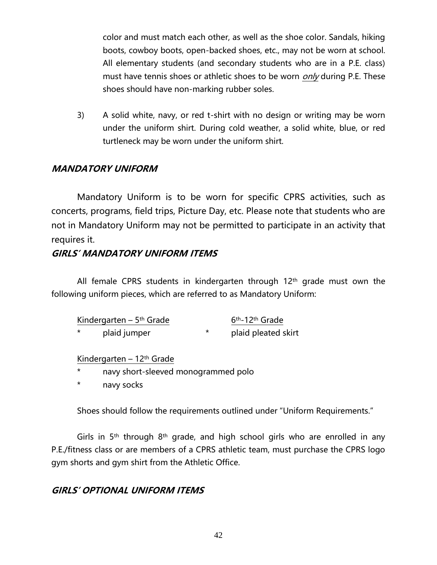color and must match each other, as well as the shoe color. Sandals, hiking boots, cowboy boots, open-backed shoes, etc., may not be worn at school. All elementary students (and secondary students who are in a P.E. class) must have tennis shoes or athletic shoes to be worn *only* during P.E. These shoes should have non-marking rubber soles.

3) A solid white, navy, or red t-shirt with no design or writing may be worn under the uniform shirt. During cold weather, a solid white, blue, or red turtleneck may be worn under the uniform shirt.

#### **MANDATORY UNIFORM**

Mandatory Uniform is to be worn for specific CPRS activities, such as concerts, programs, field trips, Picture Day, etc. Please note that students who are not in Mandatory Uniform may not be permitted to participate in an activity that requires it.

#### **GIRLS' MANDATORY UNIFORM ITEMS**

All female CPRS students in kindergarten through 12th grade must own the following uniform pieces, which are referred to as Mandatory Uniform:

| Kindergarten – $5th$ Grade |              | 6 <sup>th</sup> -12 <sup>th</sup> Grade |
|----------------------------|--------------|-----------------------------------------|
| $\star$                    | plaid jumper | plaid pleated skirt                     |

#### Kindergarten – 12th Grade

- navy short-sleeved monogrammed polo
- navy socks

Shoes should follow the requirements outlined under "Uniform Requirements."

Girls in  $5<sup>th</sup>$  through  $8<sup>th</sup>$  grade, and high school girls who are enrolled in any P.E./fitness class or are members of a CPRS athletic team, must purchase the CPRS logo gym shorts and gym shirt from the Athletic Office.

#### **GIRLS' OPTIONAL UNIFORM ITEMS**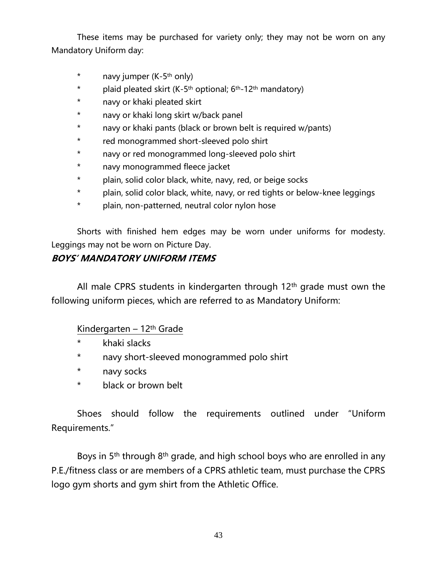These items may be purchased for variety only; they may not be worn on any Mandatory Uniform day:

- \* navy jumper (K-5th only)
- \* plaid pleated skirt  $(K-5<sup>th</sup>$  optional;  $6<sup>th</sup>-12<sup>th</sup>$  mandatory)
- \* navy or khaki pleated skirt
- \* navy or khaki long skirt w/back panel
- \* navy or khaki pants (black or brown belt is required w/pants)
- \* red monogrammed short-sleeved polo shirt
- \* navy or red monogrammed long-sleeved polo shirt
- \* navy monogrammed fleece jacket
- \* plain, solid color black, white, navy, red, or beige socks
- \* plain, solid color black, white, navy, or red tights or below-knee leggings
- \* plain, non-patterned, neutral color nylon hose

Shorts with finished hem edges may be worn under uniforms for modesty. Leggings may not be worn on Picture Day.

#### **BOYS' MANDATORY UNIFORM ITEMS**

All male CPRS students in kindergarten through 12<sup>th</sup> grade must own the following uniform pieces, which are referred to as Mandatory Uniform:

#### Kindergarten – 12th Grade

- \* khaki slacks
- \* navy short-sleeved monogrammed polo shirt
- \* navy socks
- \* black or brown belt

Shoes should follow the requirements outlined under "Uniform Requirements."

Boys in 5<sup>th</sup> through 8<sup>th</sup> grade, and high school boys who are enrolled in any P.E./fitness class or are members of a CPRS athletic team, must purchase the CPRS logo gym shorts and gym shirt from the Athletic Office.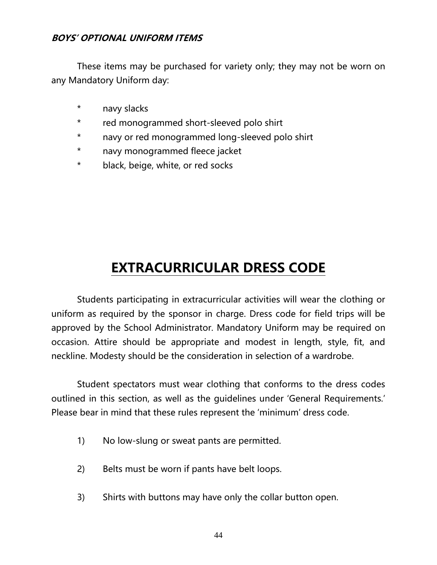#### **BOYS' OPTIONAL UNIFORM ITEMS**

These items may be purchased for variety only; they may not be worn on any Mandatory Uniform day:

- \* navy slacks
- \* red monogrammed short-sleeved polo shirt
- \* navy or red monogrammed long-sleeved polo shirt
- \* navy monogrammed fleece jacket
- \* black, beige, white, or red socks

### **EXTRACURRICULAR DRESS CODE**

Students participating in extracurricular activities will wear the clothing or uniform as required by the sponsor in charge. Dress code for field trips will be approved by the School Administrator. Mandatory Uniform may be required on occasion. Attire should be appropriate and modest in length, style, fit, and neckline. Modesty should be the consideration in selection of a wardrobe.

Student spectators must wear clothing that conforms to the dress codes outlined in this section, as well as the guidelines under 'General Requirements.' Please bear in mind that these rules represent the 'minimum' dress code.

- 1) No low-slung or sweat pants are permitted.
- 2) Belts must be worn if pants have belt loops.
- 3) Shirts with buttons may have only the collar button open.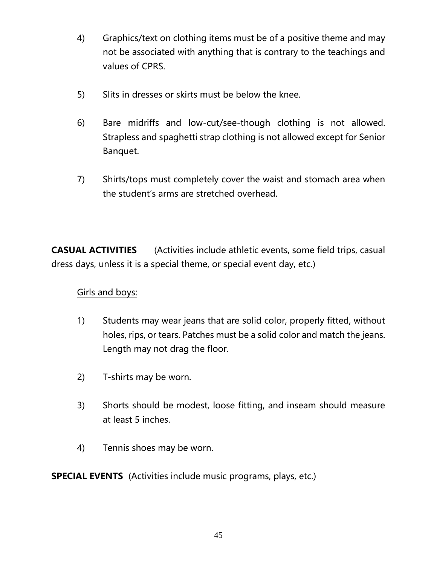- 4) Graphics/text on clothing items must be of a positive theme and may not be associated with anything that is contrary to the teachings and values of CPRS.
- 5) Slits in dresses or skirts must be below the knee.
- 6) Bare midriffs and low-cut/see-though clothing is not allowed. Strapless and spaghetti strap clothing is not allowed except for Senior Banquet.
- 7) Shirts/tops must completely cover the waist and stomach area when the student's arms are stretched overhead.

**CASUAL ACTIVITIES** (Activities include athletic events, some field trips, casual dress days, unless it is a special theme, or special event day, etc.)

#### Girls and boys:

- 1) Students may wear jeans that are solid color, properly fitted, without holes, rips, or tears. Patches must be a solid color and match the jeans. Length may not drag the floor.
- 2) T-shirts may be worn.
- 3) Shorts should be modest, loose fitting, and inseam should measure at least 5 inches.
- 4) Tennis shoes may be worn.

**SPECIAL EVENTS** (Activities include music programs, plays, etc.)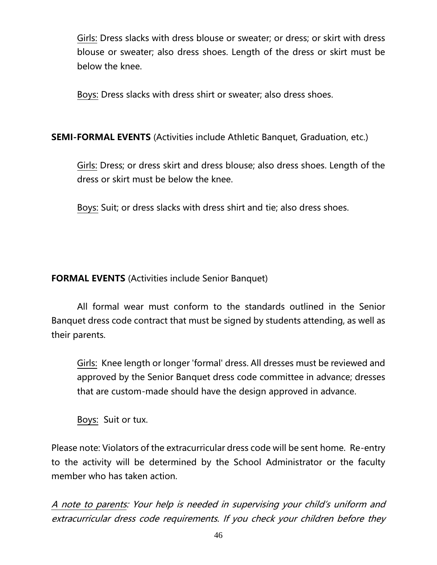Girls: Dress slacks with dress blouse or sweater; or dress; or skirt with dress blouse or sweater; also dress shoes. Length of the dress or skirt must be below the knee.

Boys: Dress slacks with dress shirt or sweater; also dress shoes.

#### **SEMI-FORMAL EVENTS** (Activities include Athletic Banquet, Graduation, etc.)

Girls: Dress; or dress skirt and dress blouse; also dress shoes. Length of the dress or skirt must be below the knee.

Boys: Suit; or dress slacks with dress shirt and tie; also dress shoes.

#### **FORMAL EVENTS** (Activities include Senior Banquet)

All formal wear must conform to the standards outlined in the Senior Banquet dress code contract that must be signed by students attending, as well as their parents.

Girls: Knee length or longer 'formal' dress. All dresses must be reviewed and approved by the Senior Banquet dress code committee in advance; dresses that are custom-made should have the design approved in advance.

Boys: Suit or tux.

Please note: Violators of the extracurricular dress code will be sent home. Re-entry to the activity will be determined by the School Administrator or the faculty member who has taken action.

A note to parents: Your help is needed in supervising your child's uniform and extracurricular dress code requirements. If you check your children before they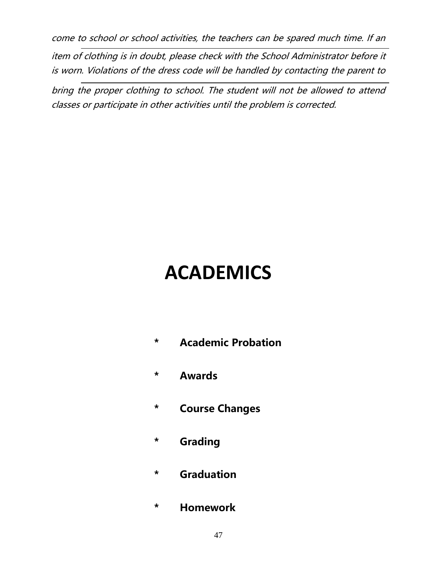come to school or school activities, the teachers can be spared much time. If an

item of clothing is in doubt, please check with the School Administrator before it is worn. Violations of the dress code will be handled by contacting the parent to

bring the proper clothing to school. The student will not be allowed to attend classes or participate in other activities until the problem is corrected.

## **ACADEMICS**

- **\* Academic Probation**
- **\* Awards**
- **\* Course Changes**
- **\* Grading**
- **\* Graduation**
- **\* Homework**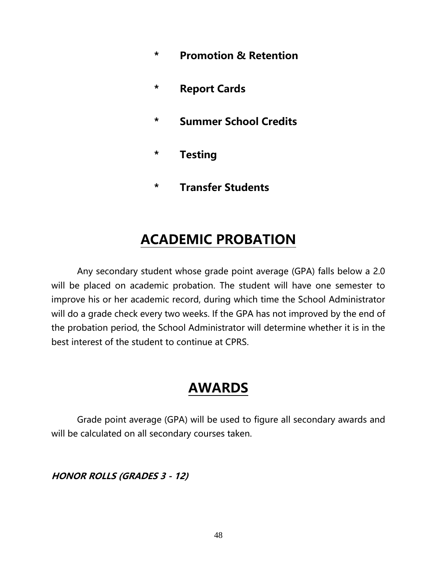- **\* Promotion & Retention**
- **\* Report Cards**
- **\* Summer School Credits**
- **\* Testing**
- **\* Transfer Students**

### **ACADEMIC PROBATION**

Any secondary student whose grade point average (GPA) falls below a 2.0 will be placed on academic probation. The student will have one semester to improve his or her academic record, during which time the School Administrator will do a grade check every two weeks. If the GPA has not improved by the end of the probation period, the School Administrator will determine whether it is in the best interest of the student to continue at CPRS.

### **AWARDS**

Grade point average (GPA) will be used to figure all secondary awards and will be calculated on all secondary courses taken.

**HONOR ROLLS (GRADES 3 - 12)**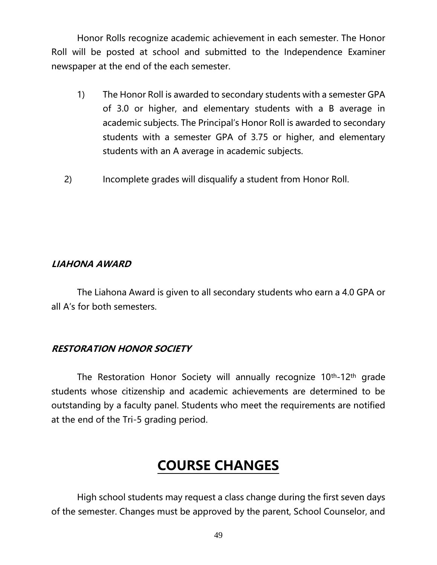Honor Rolls recognize academic achievement in each semester. The Honor Roll will be posted at school and submitted to the Independence Examiner newspaper at the end of the each semester.

- 1) The Honor Roll is awarded to secondary students with a semester GPA of 3.0 or higher, and elementary students with a B average in academic subjects. The Principal's Honor Roll is awarded to secondary students with a semester GPA of 3.75 or higher, and elementary students with an A average in academic subjects.
- 2) Incomplete grades will disqualify a student from Honor Roll.

#### **LIAHONA AWARD**

The Liahona Award is given to all secondary students who earn a 4.0 GPA or all A's for both semesters.

#### **RESTORATION HONOR SOCIETY**

The Restoration Honor Society will annually recognize 10<sup>th</sup>-12<sup>th</sup> grade students whose citizenship and academic achievements are determined to be outstanding by a faculty panel. Students who meet the requirements are notified at the end of the Tri-5 grading period.

### **COURSE CHANGES**

High school students may request a class change during the first seven days of the semester. Changes must be approved by the parent, School Counselor, and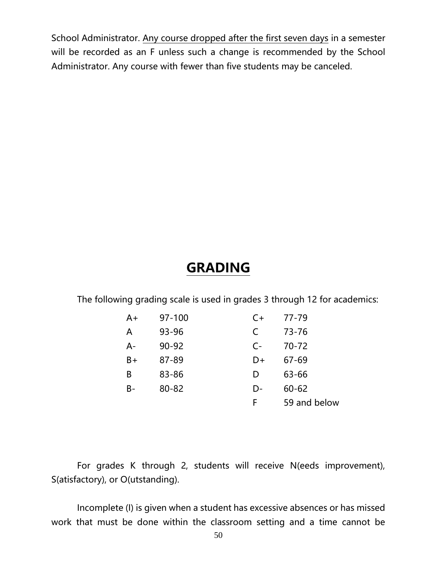School Administrator. Any course dropped after the first seven days in a semester will be recorded as an F unless such a change is recommended by the School Administrator. Any course with fewer than five students may be canceled.

### **GRADING**

The following grading scale is used in grades 3 through 12 for academics:

| $A+$ | 97-100    | $C+$ | 77-79        |
|------|-----------|------|--------------|
| A    | 93-96     | C    | $73 - 76$    |
| A-   | $90 - 92$ | $C-$ | $70 - 72$    |
| $B+$ | 87-89     | D+   | $67 - 69$    |
| B    | 83-86     | D    | 63-66        |
| B-   | $80 - 82$ | D-   | $60 - 62$    |
|      |           | F    | 59 and below |

For grades K through 2, students will receive N(eeds improvement), S(atisfactory), or O(utstanding).

Incomplete (I) is given when a student has excessive absences or has missed work that must be done within the classroom setting and a time cannot be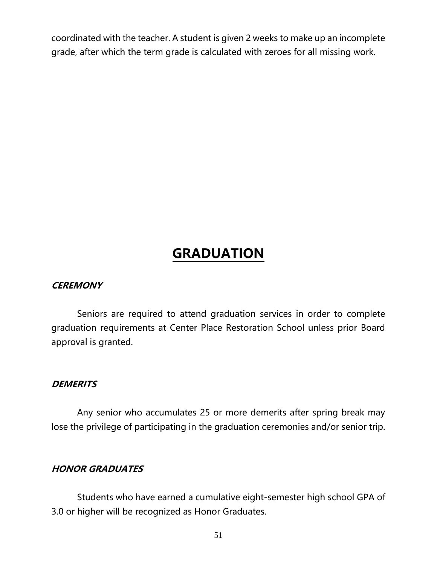coordinated with the teacher. A student is given 2 weeks to make up an incomplete grade, after which the term grade is calculated with zeroes for all missing work.

### **GRADUATION**

#### **CEREMONY**

Seniors are required to attend graduation services in order to complete graduation requirements at Center Place Restoration School unless prior Board approval is granted.

#### **DEMERITS**

Any senior who accumulates 25 or more demerits after spring break may lose the privilege of participating in the graduation ceremonies and/or senior trip.

#### **HONOR GRADUATES**

Students who have earned a cumulative eight-semester high school GPA of 3.0 or higher will be recognized as Honor Graduates.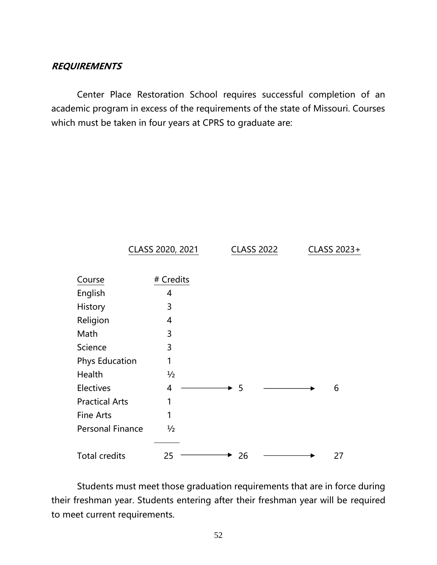#### **REQUIREMENTS**

Center Place Restoration School requires successful completion of an academic program in excess of the requirements of the state of Missouri. Courses which must be taken in four years at CPRS to graduate are:



Students must meet those graduation requirements that are in force during their freshman year. Students entering after their freshman year will be required to meet current requirements.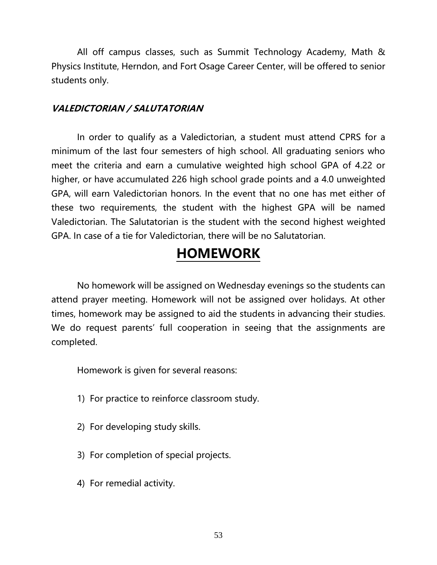All off campus classes, such as Summit Technology Academy, Math & Physics Institute, Herndon, and Fort Osage Career Center, will be offered to senior students only.

#### **VALEDICTORIAN / SALUTATORIAN**

In order to qualify as a Valedictorian, a student must attend CPRS for a minimum of the last four semesters of high school. All graduating seniors who meet the criteria and earn a cumulative weighted high school GPA of 4.22 or higher, or have accumulated 226 high school grade points and a 4.0 unweighted GPA, will earn Valedictorian honors. In the event that no one has met either of these two requirements, the student with the highest GPA will be named Valedictorian. The Salutatorian is the student with the second highest weighted GPA. In case of a tie for Valedictorian, there will be no Salutatorian.

### **HOMEWORK**

No homework will be assigned on Wednesday evenings so the students can attend prayer meeting. Homework will not be assigned over holidays. At other times, homework may be assigned to aid the students in advancing their studies. We do request parents' full cooperation in seeing that the assignments are completed.

Homework is given for several reasons:

- 1) For practice to reinforce classroom study.
- 2) For developing study skills.
- 3) For completion of special projects.
- 4) For remedial activity.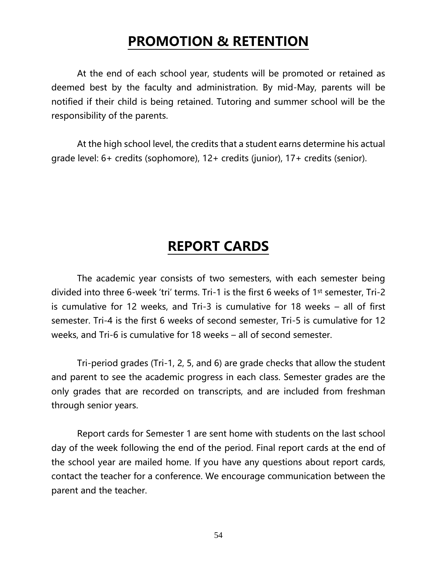### **PROMOTION & RETENTION**

At the end of each school year, students will be promoted or retained as deemed best by the faculty and administration. By mid-May, parents will be notified if their child is being retained. Tutoring and summer school will be the responsibility of the parents.

At the high school level, the credits that a student earns determine his actual grade level: 6+ credits (sophomore), 12+ credits (junior), 17+ credits (senior).

### **REPORT CARDS**

The academic year consists of two semesters, with each semester being divided into three 6-week 'tri' terms. Tri-1 is the first 6 weeks of 1st semester, Tri-2 is cumulative for 12 weeks, and Tri-3 is cumulative for 18 weeks – all of first semester. Tri-4 is the first 6 weeks of second semester, Tri-5 is cumulative for 12 weeks, and Tri-6 is cumulative for 18 weeks – all of second semester.

Tri-period grades (Tri-1, 2, 5, and 6) are grade checks that allow the student and parent to see the academic progress in each class. Semester grades are the only grades that are recorded on transcripts, and are included from freshman through senior years.

Report cards for Semester 1 are sent home with students on the last school day of the week following the end of the period. Final report cards at the end of the school year are mailed home. If you have any questions about report cards, contact the teacher for a conference. We encourage communication between the parent and the teacher.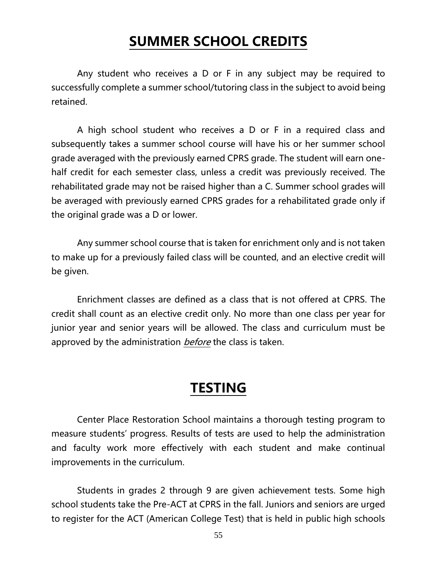### **SUMMER SCHOOL CREDITS**

Any student who receives a D or F in any subject may be required to successfully complete a summer school/tutoring class in the subject to avoid being retained.

A high school student who receives a D or F in a required class and subsequently takes a summer school course will have his or her summer school grade averaged with the previously earned CPRS grade. The student will earn onehalf credit for each semester class, unless a credit was previously received. The rehabilitated grade may not be raised higher than a C. Summer school grades will be averaged with previously earned CPRS grades for a rehabilitated grade only if the original grade was a D or lower.

Any summer school course that is taken for enrichment only and is not taken to make up for a previously failed class will be counted, and an elective credit will be given.

Enrichment classes are defined as a class that is not offered at CPRS. The credit shall count as an elective credit only. No more than one class per year for junior year and senior years will be allowed. The class and curriculum must be approved by the administration *before* the class is taken.

### **TESTING**

Center Place Restoration School maintains a thorough testing program to measure students' progress. Results of tests are used to help the administration and faculty work more effectively with each student and make continual improvements in the curriculum.

Students in grades 2 through 9 are given achievement tests. Some high school students take the Pre-ACT at CPRS in the fall. Juniors and seniors are urged to register for the ACT (American College Test) that is held in public high schools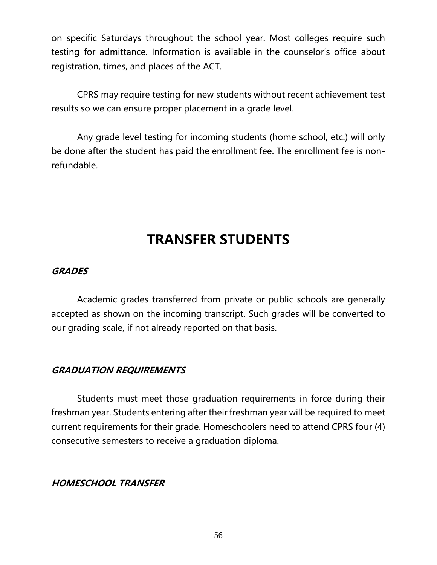on specific Saturdays throughout the school year. Most colleges require such testing for admittance. Information is available in the counselor's office about registration, times, and places of the ACT.

CPRS may require testing for new students without recent achievement test results so we can ensure proper placement in a grade level.

Any grade level testing for incoming students (home school, etc.) will only be done after the student has paid the enrollment fee. The enrollment fee is nonrefundable.

### **TRANSFER STUDENTS**

#### **GRADES**

Academic grades transferred from private or public schools are generally accepted as shown on the incoming transcript. Such grades will be converted to our grading scale, if not already reported on that basis.

#### **GRADUATION REQUIREMENTS**

Students must meet those graduation requirements in force during their freshman year. Students entering after their freshman year will be required to meet current requirements for their grade. Homeschoolers need to attend CPRS four (4) consecutive semesters to receive a graduation diploma.

#### **HOMESCHOOL TRANSFER**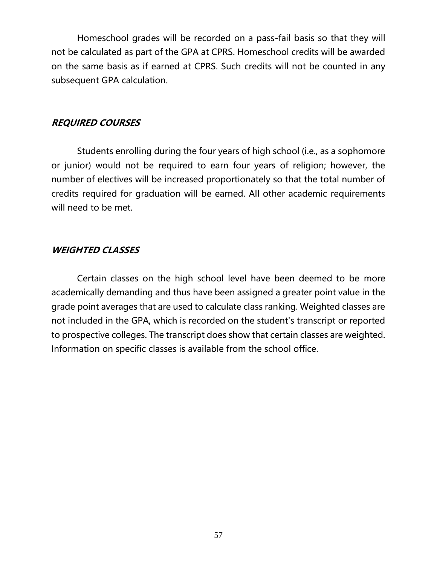Homeschool grades will be recorded on a pass-fail basis so that they will not be calculated as part of the GPA at CPRS. Homeschool credits will be awarded on the same basis as if earned at CPRS. Such credits will not be counted in any subsequent GPA calculation.

#### **REQUIRED COURSES**

Students enrolling during the four years of high school (i.e., as a sophomore or junior) would not be required to earn four years of religion; however, the number of electives will be increased proportionately so that the total number of credits required for graduation will be earned. All other academic requirements will need to be met.

#### **WEIGHTED CLASSES**

Certain classes on the high school level have been deemed to be more academically demanding and thus have been assigned a greater point value in the grade point averages that are used to calculate class ranking. Weighted classes are not included in the GPA, which is recorded on the student's transcript or reported to prospective colleges. The transcript does show that certain classes are weighted. Information on specific classes is available from the school office.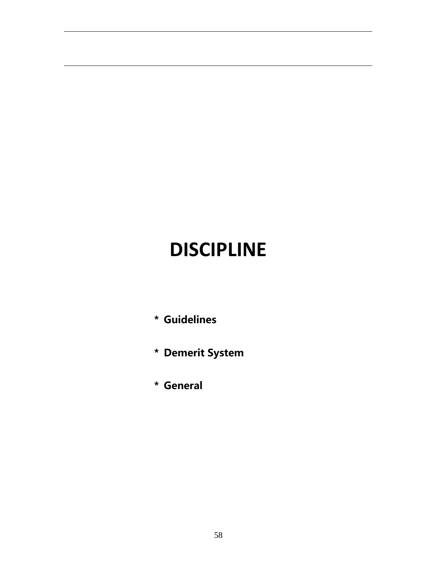## **DISCIPLINE**

- **\* Guidelines**
- **\* Demerit System**
- **\* General**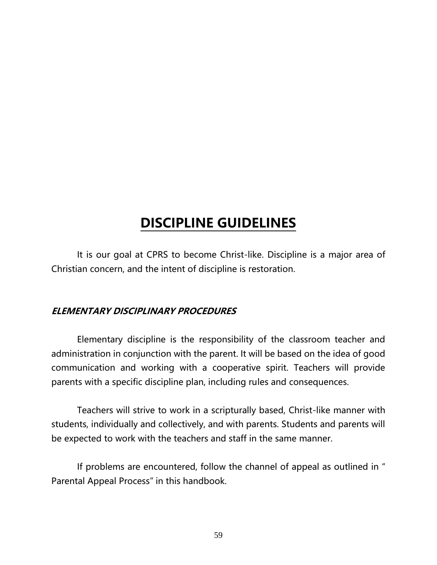### **DISCIPLINE GUIDELINES**

It is our goal at CPRS to become Christ-like. Discipline is a major area of Christian concern, and the intent of discipline is restoration.

#### **ELEMENTARY DISCIPLINARY PROCEDURES**

Elementary discipline is the responsibility of the classroom teacher and administration in conjunction with the parent. It will be based on the idea of good communication and working with a cooperative spirit. Teachers will provide parents with a specific discipline plan, including rules and consequences.

Teachers will strive to work in a scripturally based, Christ-like manner with students, individually and collectively, and with parents. Students and parents will be expected to work with the teachers and staff in the same manner.

If problems are encountered, follow the channel of appeal as outlined in " Parental Appeal Process" in this handbook.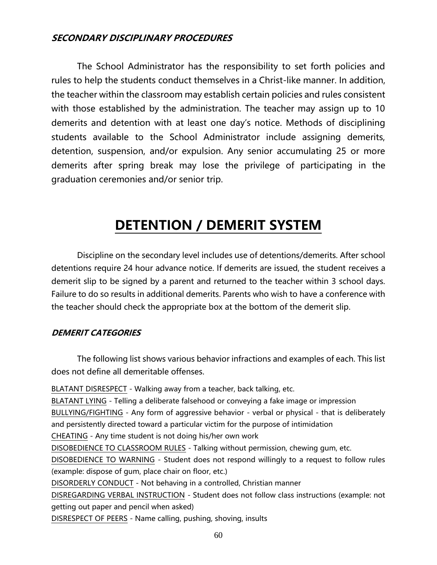#### **SECONDARY DISCIPLINARY PROCEDURES**

The School Administrator has the responsibility to set forth policies and rules to help the students conduct themselves in a Christ-like manner. In addition, the teacher within the classroom may establish certain policies and rules consistent with those established by the administration. The teacher may assign up to 10 demerits and detention with at least one day's notice. Methods of disciplining students available to the School Administrator include assigning demerits, detention, suspension, and/or expulsion. Any senior accumulating 25 or more demerits after spring break may lose the privilege of participating in the graduation ceremonies and/or senior trip.

### **DETENTION / DEMERIT SYSTEM**

Discipline on the secondary level includes use of detentions/demerits. After school detentions require 24 hour advance notice. If demerits are issued, the student receives a demerit slip to be signed by a parent and returned to the teacher within 3 school days. Failure to do so results in additional demerits. Parents who wish to have a conference with the teacher should check the appropriate box at the bottom of the demerit slip.

#### **DEMERIT CATEGORIES**

The following list shows various behavior infractions and examples of each. This list does not define all demeritable offenses.

BLATANT DISRESPECT - Walking away from a teacher, back talking, etc. BLATANT LYING - Telling a deliberate falsehood or conveying a fake image or impression BULLYING/FIGHTING - Any form of aggressive behavior - verbal or physical - that is deliberately and persistently directed toward a particular victim for the purpose of intimidation CHEATING - Any time student is not doing his/her own work DISOBEDIENCE TO CLASSROOM RULES - Talking without permission, chewing gum, etc. DISOBEDIENCE TO WARNING - Student does not respond willingly to a request to follow rules (example: dispose of gum, place chair on floor, etc.) DISORDERLY CONDUCT - Not behaving in a controlled, Christian manner DISREGARDING VERBAL INSTRUCTION - Student does not follow class instructions (example: not getting out paper and pencil when asked) DISRESPECT OF PEERS - Name calling, pushing, shoving, insults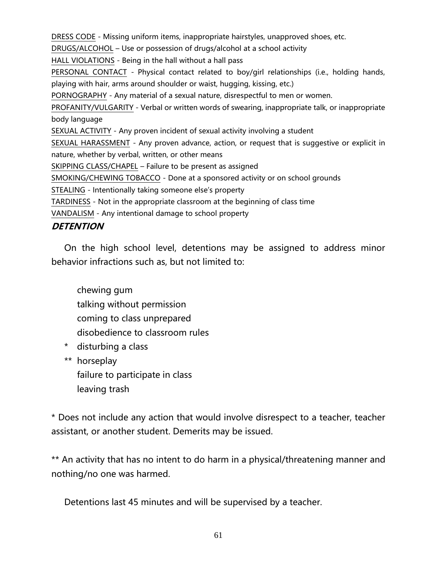DRESS CODE - Missing uniform items, inappropriate hairstyles, unapproved shoes, etc. DRUGS/ALCOHOL – Use or possession of drugs/alcohol at a school activity HALL VIOLATIONS - Being in the hall without a hall pass PERSONAL CONTACT - Physical contact related to boy/girl relationships (i.e., holding hands, playing with hair, arms around shoulder or waist, hugging, kissing, etc.) PORNOGRAPHY - Any material of a sexual nature, disrespectful to men or women. PROFANITY/VULGARITY - Verbal or written words of swearing, inappropriate talk, or inappropriate body language SEXUAL ACTIVITY - Any proven incident of sexual activity involving a student SEXUAL HARASSMENT - Any proven advance, action, or request that is suggestive or explicit in nature, whether by verbal, written, or other means SKIPPING CLASS/CHAPEL – Failure to be present as assigned SMOKING/CHEWING TOBACCO - Done at a sponsored activity or on school grounds STEALING - Intentionally taking someone else's property TARDINESS - Not in the appropriate classroom at the beginning of class time VANDALISM - Any intentional damage to school property

#### **DETENTION**

On the high school level, detentions may be assigned to address minor behavior infractions such as, but not limited to:

chewing gum talking without permission coming to class unprepared disobedience to classroom rules

- \* disturbing a class
- \*\* horseplay failure to participate in class leaving trash

\* Does not include any action that would involve disrespect to a teacher, teacher assistant, or another student. Demerits may be issued.

\*\* An activity that has no intent to do harm in a physical/threatening manner and nothing/no one was harmed.

Detentions last 45 minutes and will be supervised by a teacher.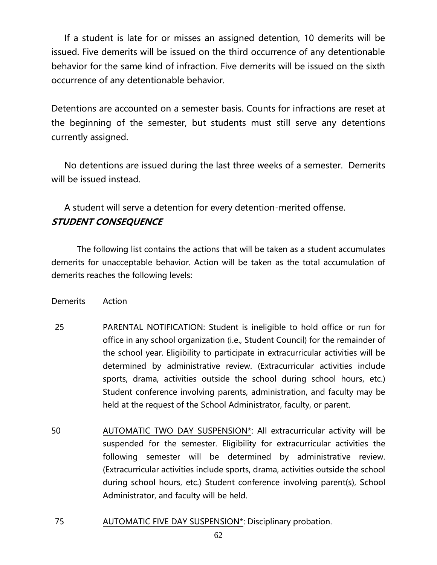If a student is late for or misses an assigned detention, 10 demerits will be issued. Five demerits will be issued on the third occurrence of any detentionable behavior for the same kind of infraction. Five demerits will be issued on the sixth occurrence of any detentionable behavior.

Detentions are accounted on a semester basis. Counts for infractions are reset at the beginning of the semester, but students must still serve any detentions currently assigned.

No detentions are issued during the last three weeks of a semester. Demerits will be issued instead.

#### A student will serve a detention for every detention-merited offense. **STUDENT CONSEQUENCE**

The following list contains the actions that will be taken as a student accumulates demerits for unacceptable behavior. Action will be taken as the total accumulation of demerits reaches the following levels:

#### Demerits Action

- 25 PARENTAL NOTIFICATION: Student is ineligible to hold office or run for office in any school organization (i.e., Student Council) for the remainder of the school year. Eligibility to participate in extracurricular activities will be determined by administrative review. (Extracurricular activities include sports, drama, activities outside the school during school hours, etc.) Student conference involving parents, administration, and faculty may be held at the request of the School Administrator, faculty, or parent.
- 50 AUTOMATIC TWO DAY SUSPENSION\*: All extracurricular activity will be suspended for the semester. Eligibility for extracurricular activities the following semester will be determined by administrative review. (Extracurricular activities include sports, drama, activities outside the school during school hours, etc.) Student conference involving parent(s), School Administrator, and faculty will be held.
- 75 AUTOMATIC FIVE DAY SUSPENSION\*: Disciplinary probation.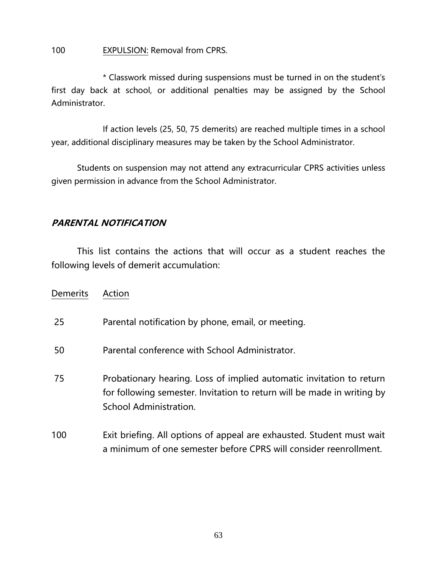#### 100 EXPULSION: Removal from CPRS.

\* Classwork missed during suspensions must be turned in on the student's first day back at school, or additional penalties may be assigned by the School Administrator.

If action levels (25, 50, 75 demerits) are reached multiple times in a school year, additional disciplinary measures may be taken by the School Administrator.

Students on suspension may not attend any extracurricular CPRS activities unless given permission in advance from the School Administrator.

#### **PARENTAL NOTIFICATION**

This list contains the actions that will occur as a student reaches the following levels of demerit accumulation:

| <b>Demerits</b> | Action                                                                                                                                                                    |
|-----------------|---------------------------------------------------------------------------------------------------------------------------------------------------------------------------|
| 25              | Parental notification by phone, email, or meeting.                                                                                                                        |
| 50              | Parental conference with School Administrator.                                                                                                                            |
| 75              | Probationary hearing. Loss of implied automatic invitation to return<br>for following semester. Invitation to return will be made in writing by<br>School Administration. |
| 100             | Exit briefing. All options of appeal are exhausted. Student must wait<br>a minimum of one semester before CPRS will consider reenrollment.                                |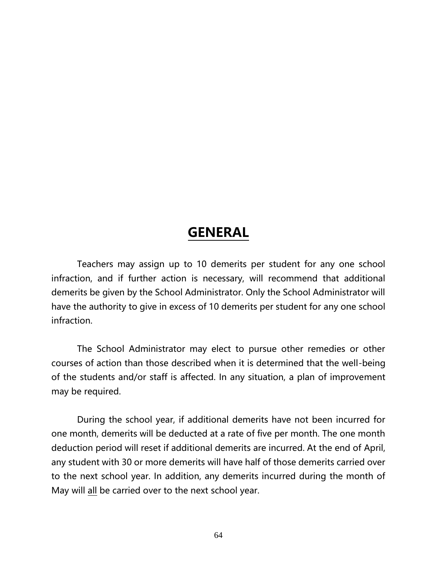### **GENERAL**

Teachers may assign up to 10 demerits per student for any one school infraction, and if further action is necessary, will recommend that additional demerits be given by the School Administrator. Only the School Administrator will have the authority to give in excess of 10 demerits per student for any one school infraction.

The School Administrator may elect to pursue other remedies or other courses of action than those described when it is determined that the well-being of the students and/or staff is affected. In any situation, a plan of improvement may be required.

During the school year, if additional demerits have not been incurred for one month, demerits will be deducted at a rate of five per month. The one month deduction period will reset if additional demerits are incurred. At the end of April, any student with 30 or more demerits will have half of those demerits carried over to the next school year. In addition, any demerits incurred during the month of May will all be carried over to the next school year.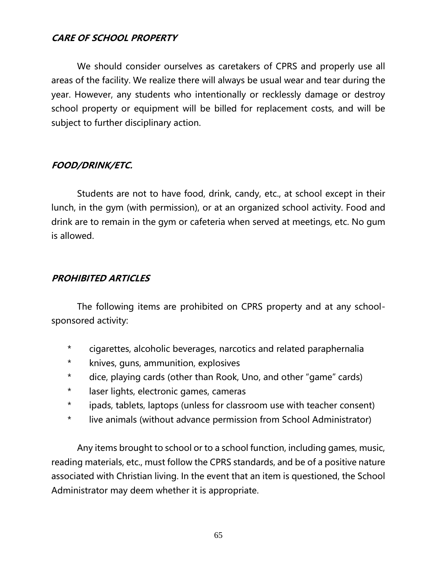#### **CARE OF SCHOOL PROPERTY**

We should consider ourselves as caretakers of CPRS and properly use all areas of the facility. We realize there will always be usual wear and tear during the year. However, any students who intentionally or recklessly damage or destroy school property or equipment will be billed for replacement costs, and will be subject to further disciplinary action.

#### **FOOD/DRINK/ETC.**

Students are not to have food, drink, candy, etc., at school except in their lunch, in the gym (with permission), or at an organized school activity. Food and drink are to remain in the gym or cafeteria when served at meetings, etc. No gum is allowed.

#### **PROHIBITED ARTICLES**

The following items are prohibited on CPRS property and at any schoolsponsored activity:

- \* cigarettes, alcoholic beverages, narcotics and related paraphernalia
- \* knives, guns, ammunition, explosives
- \* dice, playing cards (other than Rook, Uno, and other "game" cards)
- \* laser lights, electronic games, cameras
- \* ipads, tablets, laptops (unless for classroom use with teacher consent)
- \* live animals (without advance permission from School Administrator)

Any items brought to school or to a school function, including games, music, reading materials, etc., must follow the CPRS standards, and be of a positive nature associated with Christian living. In the event that an item is questioned, the School Administrator may deem whether it is appropriate.